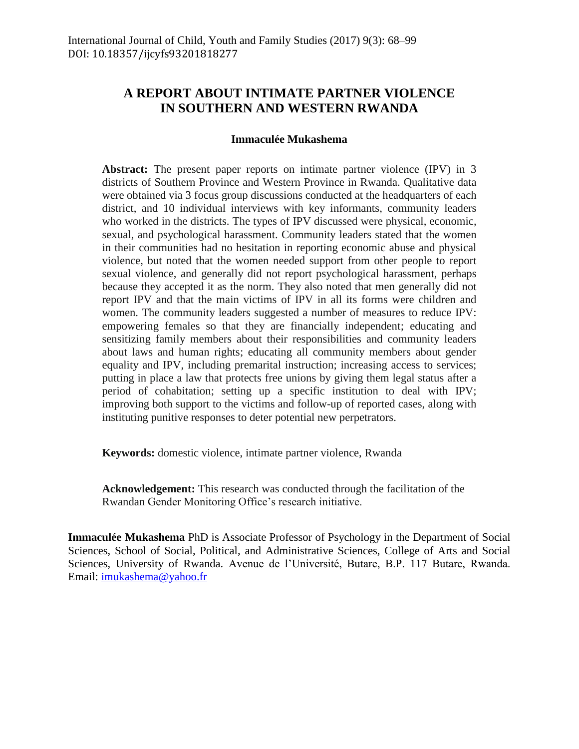# **A REPORT ABOUT INTIMATE PARTNER VIOLENCE IN SOUTHERN AND WESTERN RWANDA**

### **Immaculée Mukashema**

**Abstract:** The present paper reports on intimate partner violence (IPV) in 3 districts of Southern Province and Western Province in Rwanda. Qualitative data were obtained via 3 focus group discussions conducted at the headquarters of each district, and 10 individual interviews with key informants, community leaders who worked in the districts. The types of IPV discussed were physical, economic, sexual, and psychological harassment. Community leaders stated that the women in their communities had no hesitation in reporting economic abuse and physical violence, but noted that the women needed support from other people to report sexual violence, and generally did not report psychological harassment, perhaps because they accepted it as the norm. They also noted that men generally did not report IPV and that the main victims of IPV in all its forms were children and women. The community leaders suggested a number of measures to reduce IPV: empowering females so that they are financially independent; educating and sensitizing family members about their responsibilities and community leaders about laws and human rights; educating all community members about gender equality and IPV, including premarital instruction; increasing access to services; putting in place a law that protects free unions by giving them legal status after a period of cohabitation; setting up a specific institution to deal with IPV; improving both support to the victims and follow-up of reported cases, along with instituting punitive responses to deter potential new perpetrators.

**Keywords:** domestic violence, intimate partner violence, Rwanda

**Acknowledgement:** This research was conducted through the facilitation of the Rwandan Gender Monitoring Office's research initiative.

**Immaculée Mukashema** PhD is Associate Professor of Psychology in the Department of Social Sciences, School of Social, Political, and Administrative Sciences, College of Arts and Social Sciences, University of Rwanda. Avenue de l'Université, Butare, B.P. 117 Butare, Rwanda. Email: [imukashema@yahoo.fr](mailto:imukashema@yahoo.fr)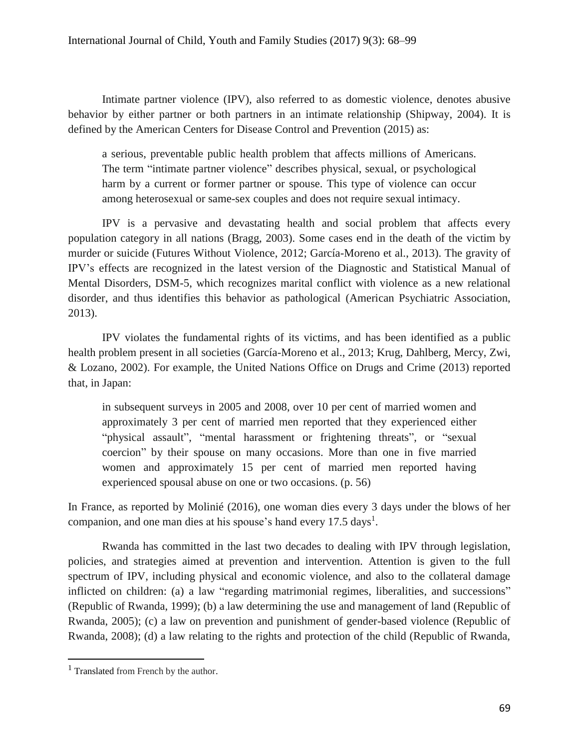Intimate partner violence (IPV), also referred to as domestic violence, denotes abusive behavior by either partner or both partners in an intimate relationship (Shipway, 2004). It is defined by the American Centers for Disease Control and Prevention (2015) as:

a serious, preventable public health problem that affects millions of Americans. The term "intimate partner violence" describes physical, sexual, or psychological harm by a current or former partner or spouse. This type of violence can occur among heterosexual or same-sex couples and does not require sexual intimacy.

IPV is a pervasive and devastating health and social problem that affects every population category in all nations (Bragg, 2003). Some cases end in the death of the victim by murder or suicide (Futures Without Violence, 2012; García-Moreno et al., 2013). The gravity of IPV's effects are recognized in the latest version of the Diagnostic and Statistical Manual of Mental Disorders, DSM-5, which recognizes marital conflict with violence as a new relational disorder, and thus identifies this behavior as pathological (American Psychiatric Association, 2013).

IPV violates the fundamental rights of its victims, and has been identified as a public health problem present in all societies (García-Moreno et al., 2013; Krug, Dahlberg, Mercy, Zwi, & Lozano, 2002). For example, the United Nations Office on Drugs and Crime (2013) reported that, in Japan:

in subsequent surveys in 2005 and 2008, over 10 per cent of married women and approximately 3 per cent of married men reported that they experienced either "physical assault", "mental harassment or frightening threats", or "sexual coercion" by their spouse on many occasions. More than one in five married women and approximately 15 per cent of married men reported having experienced spousal abuse on one or two occasions. (p. 56)

In France, as reported by Molinié (2016), one woman dies every 3 days under the blows of her companion, and one man dies at his spouse's hand every  $17.5 \text{ days}^1$ .

Rwanda has committed in the last two decades to dealing with IPV through legislation, policies, and strategies aimed at prevention and intervention. Attention is given to the full spectrum of IPV, including physical and economic violence, and also to the collateral damage inflicted on children: (a) a law "regarding matrimonial regimes, liberalities, and successions" (Republic of Rwanda, 1999); (b) a law determining the use and management of land (Republic of Rwanda, 2005); (c) a law on prevention and punishment of gender-based violence (Republic of Rwanda, 2008); (d) a law relating to the rights and protection of the child (Republic of Rwanda,

l

 $<sup>1</sup>$  Translated from French by the author.</sup>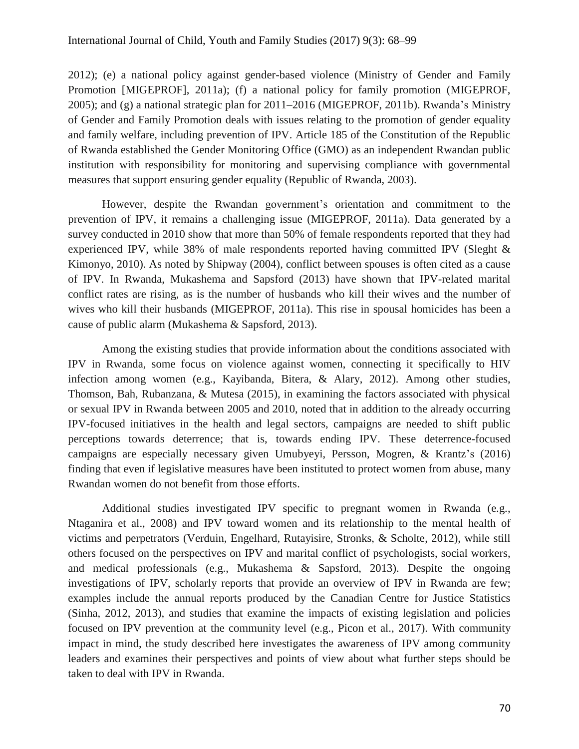2012); (e) a national policy against gender-based violence (Ministry of Gender and Family Promotion [MIGEPROF], 2011a); (f) a national policy for family promotion (MIGEPROF, 2005); and (g) a national strategic plan for 2011–2016 (MIGEPROF, 2011b). Rwanda's Ministry of Gender and Family Promotion deals with issues relating to the promotion of gender equality and family welfare, including prevention of IPV. Article 185 of the Constitution of the Republic of Rwanda established the Gender Monitoring Office (GMO) as an independent Rwandan public institution with responsibility for monitoring and supervising compliance with governmental measures that support ensuring gender equality (Republic of Rwanda, 2003).

However, despite the Rwandan government's orientation and commitment to the prevention of IPV, it remains a challenging issue (MIGEPROF, 2011a). Data generated by a survey conducted in 2010 show that more than 50% of female respondents reported that they had experienced IPV, while 38% of male respondents reported having committed IPV (Sleght & Kimonyo, 2010). As noted by Shipway (2004), conflict between spouses is often cited as a cause of IPV. In Rwanda, Mukashema and Sapsford (2013) have shown that IPV-related marital conflict rates are rising, as is the number of husbands who kill their wives and the number of wives who kill their husbands (MIGEPROF, 2011a). This rise in spousal homicides has been a cause of public alarm (Mukashema & Sapsford, 2013).

Among the existing studies that provide information about the conditions associated with IPV in Rwanda, some focus on violence against women, connecting it specifically to HIV infection among women (e.g., Kayibanda, Bitera, & Alary, 2012). Among other studies, Thomson, Bah, [Rubanzana,](https://www.ncbi.nlm.nih.gov/pubmed/?term=Rubanzana%20WG%5BAuthor%5D&cauthor=true&cauthor_uid=26511348) & Mutesa (2015), in examining the factors associated with physical or sexual IPV in Rwanda between 2005 and 2010, noted that in addition to the already occurring IPV-focused initiatives in the health and legal sectors, campaigns are needed to shift public perceptions towards deterrence; that is, towards ending IPV. These deterrence-focused campaigns are especially necessary given Umubyeyi, Persson, Mogren, & Krantz's (2016) finding that even if legislative measures have been instituted to protect women from abuse, many Rwandan women do not benefit from those efforts.

Additional studies investigated IPV specific to pregnant women in Rwanda (e.g., Ntaganira et al., 2008) and IPV toward women and its relationship to the mental health of victims and perpetrators (Verduin, Engelhard, Rutayisire, Stronks, & Scholte, 2012), while still others focused on the perspectives on IPV and marital conflict of psychologists, social workers, and medical professionals (e.g., Mukashema & Sapsford, 2013). Despite the ongoing investigations of IPV, scholarly reports that provide an overview of IPV in Rwanda are few; examples include the annual reports produced by the Canadian Centre for Justice Statistics (Sinha, 2012, 2013), and studies that examine the impacts of existing legislation and policies focused on IPV prevention at the community level (e.g., Picon et al., 2017). With community impact in mind, the study described here investigates the awareness of IPV among community leaders and examines their perspectives and points of view about what further steps should be taken to deal with IPV in Rwanda.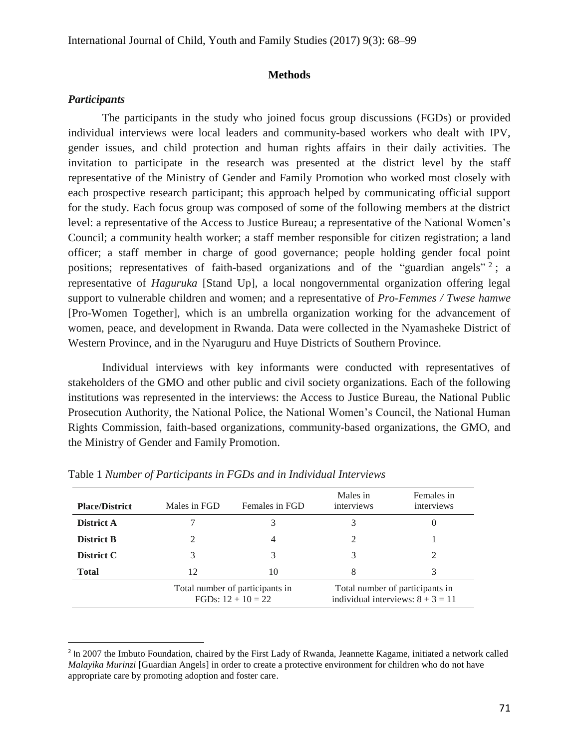### **Methods**

### *Participants*

 $\overline{a}$ 

The participants in the study who joined focus group discussions (FGDs) or provided individual interviews were local leaders and community-based workers who dealt with IPV, gender issues, and child protection and human rights affairs in their daily activities. The invitation to participate in the research was presented at the district level by the staff representative of the Ministry of Gender and Family Promotion who worked most closely with each prospective research participant; this approach helped by communicating official support for the study. Each focus group was composed of some of the following members at the district level: a representative of the Access to Justice Bureau; a representative of the National Women's Council; a community health worker; a staff member responsible for citizen registration; a land officer; a staff member in charge of good governance; people holding gender focal point positions; representatives of faith-based organizations and of the "guardian angels"<sup>2</sup>; a representative of *Haguruka* [Stand Up], a local nongovernmental organization offering legal support to vulnerable children and women; and a representative of *Pro-Femmes / Twese hamwe* [Pro-Women Together], which is an umbrella organization working for the advancement of women, peace, and development in Rwanda. Data were collected in the Nyamasheke District of Western Province, and in the Nyaruguru and Huye Districts of Southern Province.

Individual interviews with key informants were conducted with representatives of stakeholders of the GMO and other public and civil society organizations. Each of the following institutions was represented in the interviews: the Access to Justice Bureau, the National Public Prosecution Authority, the National Police, the National Women's Council, the National Human Rights Commission, faith-based organizations, community-based organizations, the GMO, and the Ministry of Gender and Family Promotion.

| <b>Place/District</b> | Males in FGD                                            | Females in FGD | Males in<br>interviews                                                 | Females in<br>interviews |
|-----------------------|---------------------------------------------------------|----------------|------------------------------------------------------------------------|--------------------------|
| <b>District A</b>     |                                                         | 3              | 3                                                                      |                          |
| <b>District B</b>     |                                                         | 4              |                                                                        |                          |
| District C            | 3                                                       | 3              | 3                                                                      | 2                        |
| <b>Total</b>          | 12                                                      | 10             | 8                                                                      | 3                        |
|                       | Total number of participants in<br>FGDs: $12 + 10 = 22$ |                | Total number of participants in<br>individual interviews: $8 + 3 = 11$ |                          |

Table 1 *Number of Participants in FGDs and in Individual Interviews*

<sup>&</sup>lt;sup>2</sup> In 2007 the Imbuto Foundation, chaired by the First Lady of Rwanda, Jeannette Kagame, initiated a network called *Malayika Murinzi* [Guardian Angels] in order to create a protective environment for children who do not have appropriate care by promoting adoption and foster care.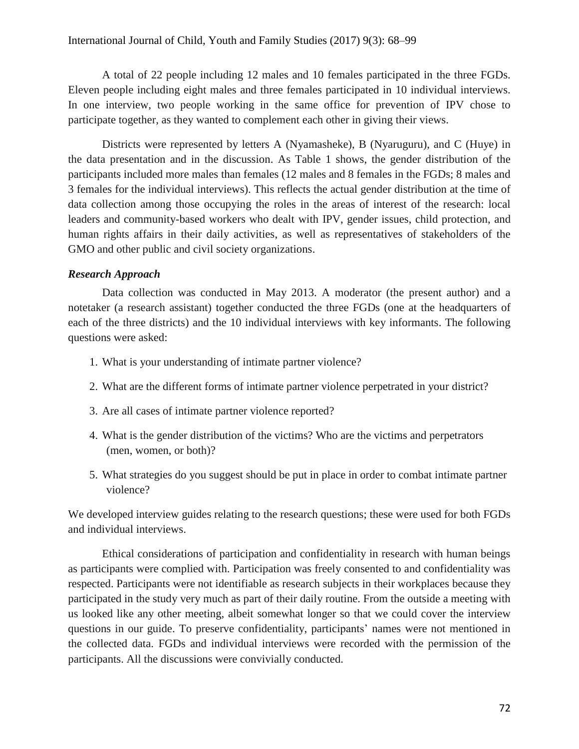### International Journal of Child, Youth and Family Studies (2017) 9(3): 68–99

A total of 22 people including 12 males and 10 females participated in the three FGDs. Eleven people including eight males and three females participated in 10 individual interviews. In one interview, two people working in the same office for prevention of IPV chose to participate together, as they wanted to complement each other in giving their views.

Districts were represented by letters A (Nyamasheke), B (Nyaruguru), and C (Huye) in the data presentation and in the discussion. As Table 1 shows, the gender distribution of the participants included more males than females (12 males and 8 females in the FGDs; 8 males and 3 females for the individual interviews). This reflects the actual gender distribution at the time of data collection among those occupying the roles in the areas of interest of the research: local leaders and community-based workers who dealt with IPV, gender issues, child protection, and human rights affairs in their daily activities, as well as representatives of stakeholders of the GMO and other public and civil society organizations.

### *Research Approach*

Data collection was conducted in May 2013. A moderator (the present author) and a notetaker (a research assistant) together conducted the three FGDs (one at the headquarters of each of the three districts) and the 10 individual interviews with key informants. The following questions were asked:

- 1. What is your understanding of intimate partner violence?
- 2. What are the different forms of intimate partner violence perpetrated in your district?
- 3. Are all cases of intimate partner violence reported?
- 4. What is the gender distribution of the victims? Who are the victims and perpetrators (men, women, or both)?
- 5. What strategies do you suggest should be put in place in order to combat intimate partner violence?

We developed interview guides relating to the research questions; these were used for both FGDs and individual interviews.

Ethical considerations of participation and confidentiality in research with human beings as participants were complied with. Participation was freely consented to and confidentiality was respected. Participants were not identifiable as research subjects in their workplaces because they participated in the study very much as part of their daily routine. From the outside a meeting with us looked like any other meeting, albeit somewhat longer so that we could cover the interview questions in our guide. To preserve confidentiality, participants' names were not mentioned in the collected data. FGDs and individual interviews were recorded with the permission of the participants. All the discussions were convivially conducted.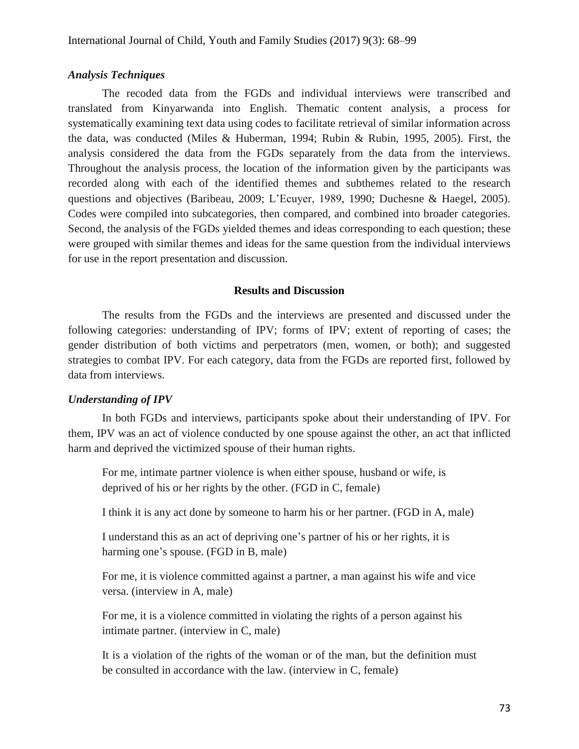### *Analysis Techniques*

The recoded data from the FGDs and individual interviews were transcribed and translated from Kinyarwanda into English. Thematic content analysis, a process for systematically examining text data using codes to facilitate retrieval of similar information across the data, was conducted (Miles & Huberman, 1994; Rubin & Rubin, 1995, 2005). First, the analysis considered the data from the FGDs separately from the data from the interviews. Throughout the analysis process, the location of the information given by the participants was recorded along with each of the identified themes and subthemes related to the research questions and objectives (Baribeau, 2009; L'Ecuyer, 1989, 1990; Duchesne & Haegel, 2005). Codes were compiled into subcategories, then compared, and combined into broader categories. Second, the analysis of the FGDs yielded themes and ideas corresponding to each question; these were grouped with similar themes and ideas for the same question from the individual interviews for use in the report presentation and discussion.

#### **Results and Discussion**

The results from the FGDs and the interviews are presented and discussed under the following categories: understanding of IPV; forms of IPV; extent of reporting of cases; the gender distribution of both victims and perpetrators (men, women, or both); and suggested strategies to combat IPV. For each category, data from the FGDs are reported first, followed by data from interviews.

#### *Understanding of IPV*

In both FGDs and interviews, participants spoke about their understanding of IPV. For them, IPV was an act of violence conducted by one spouse against the other, an act that inflicted harm and deprived the victimized spouse of their human rights.

For me, intimate partner violence is when either spouse, husband or wife, is deprived of his or her rights by the other. (FGD in C, female)

I think it is any act done by someone to harm his or her partner. (FGD in A, male)

I understand this as an act of depriving one's partner of his or her rights, it is harming one's spouse. (FGD in B, male)

For me, it is violence committed against a partner, a man against his wife and vice versa. (interview in A, male)

For me, it is a violence committed in violating the rights of a person against his intimate partner. (interview in C, male)

It is a violation of the rights of the woman or of the man, but the definition must be consulted in accordance with the law. (interview in C, female)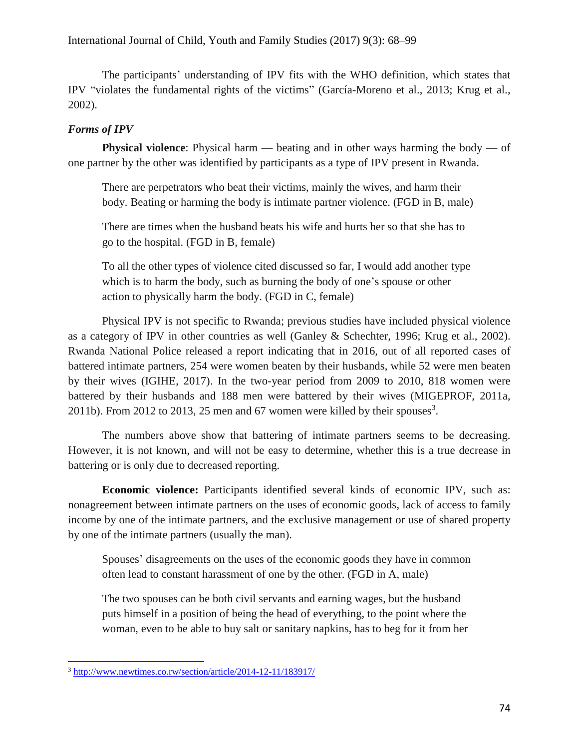The participants' understanding of IPV fits with the WHO definition, which states that IPV "violates the fundamental rights of the victims" (García-Moreno et al., 2013; Krug et al., 2002).

## *Forms of IPV*

**Physical violence**: Physical harm — beating and in other ways harming the body — of one partner by the other was identified by participants as a type of IPV present in Rwanda.

There are perpetrators who beat their victims, mainly the wives, and harm their body. Beating or harming the body is intimate partner violence. (FGD in B, male)

There are times when the husband beats his wife and hurts her so that she has to go to the hospital. (FGD in B, female)

To all the other types of violence cited discussed so far, I would add another type which is to harm the body, such as burning the body of one's spouse or other action to physically harm the body. (FGD in C, female)

Physical IPV is not specific to Rwanda; previous studies have included physical violence as a category of IPV in other countries as well (Ganley & Schechter, 1996; Krug et al., 2002). Rwanda National Police released a report indicating that in 2016, out of all reported cases of battered intimate partners, 254 were women beaten by their husbands, while 52 were men beaten by their wives (IGIHE, 2017). In the two-year period from 2009 to 2010, 818 women were battered by their husbands and 188 men were battered by their wives (MIGEPROF, 2011a, 2011b). From 2012 to 2013, 25 men and 67 women were killed by their spouses<sup>3</sup>.

The numbers above show that battering of intimate partners seems to be decreasing. However, it is not known, and will not be easy to determine, whether this is a true decrease in battering or is only due to decreased reporting.

**Economic violence:** Participants identified several kinds of economic IPV, such as: nonagreement between intimate partners on the uses of economic goods, lack of access to family income by one of the intimate partners, and the exclusive management or use of shared property by one of the intimate partners (usually the man).

Spouses' disagreements on the uses of the economic goods they have in common often lead to constant harassment of one by the other. (FGD in A, male)

The two spouses can be both civil servants and earning wages, but the husband puts himself in a position of being the head of everything, to the point where the woman, even to be able to buy salt or sanitary napkins, has to beg for it from her

l <sup>3</sup> <http://www.newtimes.co.rw/section/article/2014-12-11/183917/>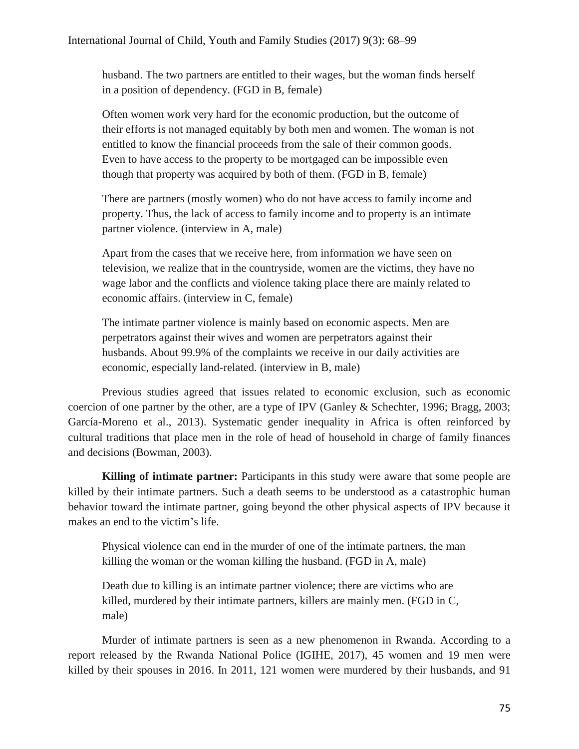husband. The two partners are entitled to their wages, but the woman finds herself in a position of dependency. (FGD in B, female)

Often women work very hard for the economic production, but the outcome of their efforts is not managed equitably by both men and women. The woman is not entitled to know the financial proceeds from the sale of their common goods. Even to have access to the property to be mortgaged can be impossible even though that property was acquired by both of them. (FGD in B, female)

There are partners (mostly women) who do not have access to family income and property. Thus, the lack of access to family income and to property is an intimate partner violence. (interview in A, male)

Apart from the cases that we receive here, from information we have seen on television, we realize that in the countryside, women are the victims, they have no wage labor and the conflicts and violence taking place there are mainly related to economic affairs. (interview in C, female)

The intimate partner violence is mainly based on economic aspects. Men are perpetrators against their wives and women are perpetrators against their husbands. About 99.9% of the complaints we receive in our daily activities are economic, especially land-related. (interview in B, male)

Previous studies agreed that issues related to economic exclusion, such as economic coercion of one partner by the other, are a type of IPV (Ganley & Schechter, 1996; Bragg, 2003; García-Moreno et al., 2013). Systematic gender inequality in Africa is often reinforced by cultural traditions that place men in the role of head of household in charge of family finances and decisions (Bowman, 2003).

**Killing of intimate partner:** Participants in this study were aware that some people are killed by their intimate partners. Such a death seems to be understood as a catastrophic human behavior toward the intimate partner, going beyond the other physical aspects of IPV because it makes an end to the victim's life.

Physical violence can end in the murder of one of the intimate partners, the man killing the woman or the woman killing the husband. (FGD in A, male)

Death due to killing is an intimate partner violence; there are victims who are killed, murdered by their intimate partners, killers are mainly men. (FGD in C, male)

Murder of intimate partners is seen as a new phenomenon in Rwanda. According to a report released by the Rwanda National Police (IGIHE, 2017), 45 women and 19 men were killed by their spouses in 2016. In 2011, 121 women were murdered by their husbands, and 91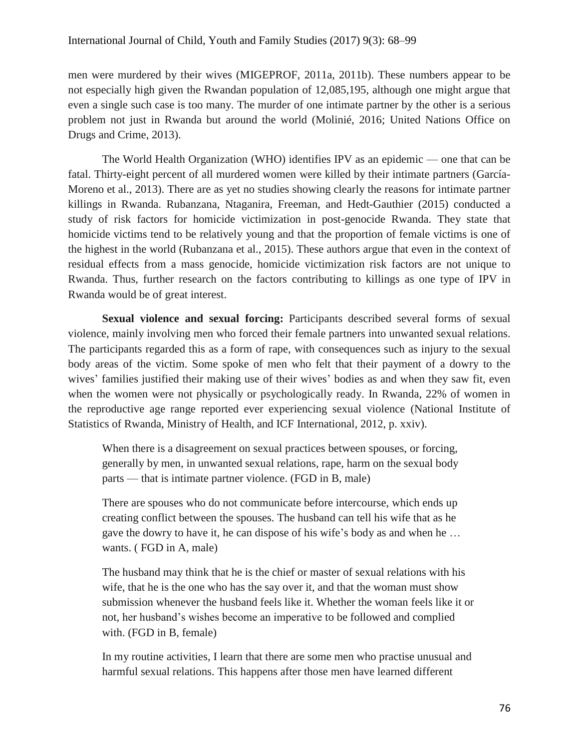men were murdered by their wives (MIGEPROF, 2011a, 2011b). These numbers appear to be not especially high given the Rwandan population of 12,085,195, although one might argue that even a single such case is too many. The murder of one intimate partner by the other is a serious problem not just in Rwanda but around the world (Molinié, 2016; United Nations Office on Drugs and Crime, 2013).

The World Health Organization (WHO) identifies IPV as an epidemic — one that can be fatal. Thirty-eight percent of all murdered women were killed by their intimate partners (García-Moreno et al., 2013). There are as yet no studies showing clearly the reasons for intimate partner killings in Rwanda. Rubanzana, Ntaganira, Freeman, and Hedt-Gauthier (2015) conducted a study of risk factors for homicide victimization in post-genocide Rwanda. They state that homicide victims tend to be relatively young and that the proportion of female victims is one of the highest in the world (Rubanzana et al., 2015). These authors argue that even in the context of residual effects from a mass genocide, homicide victimization risk factors are not unique to Rwanda. Thus, further research on the factors contributing to killings as one type of IPV in Rwanda would be of great interest.

**Sexual violence and sexual forcing:** Participants described several forms of sexual violence, mainly involving men who forced their female partners into unwanted sexual relations. The participants regarded this as a form of rape, with consequences such as injury to the sexual body areas of the victim. Some spoke of men who felt that their payment of a dowry to the wives' families justified their making use of their wives' bodies as and when they saw fit, even when the women were not physically or psychologically ready. In Rwanda, 22% of women in the reproductive age range reported ever experiencing sexual violence (National Institute of Statistics of Rwanda, Ministry of Health, and ICF International, 2012, p. xxiv).

When there is a disagreement on sexual practices between spouses, or forcing, generally by men, in unwanted sexual relations, rape, harm on the sexual body parts — that is intimate partner violence. (FGD in B, male)

There are spouses who do not communicate before intercourse, which ends up creating conflict between the spouses. The husband can tell his wife that as he gave the dowry to have it, he can dispose of his wife's body as and when he … wants. ( FGD in A, male)

The husband may think that he is the chief or master of sexual relations with his wife, that he is the one who has the say over it, and that the woman must show submission whenever the husband feels like it. Whether the woman feels like it or not, her husband's wishes become an imperative to be followed and complied with. (FGD in B, female)

In my routine activities, I learn that there are some men who practise unusual and harmful sexual relations. This happens after those men have learned different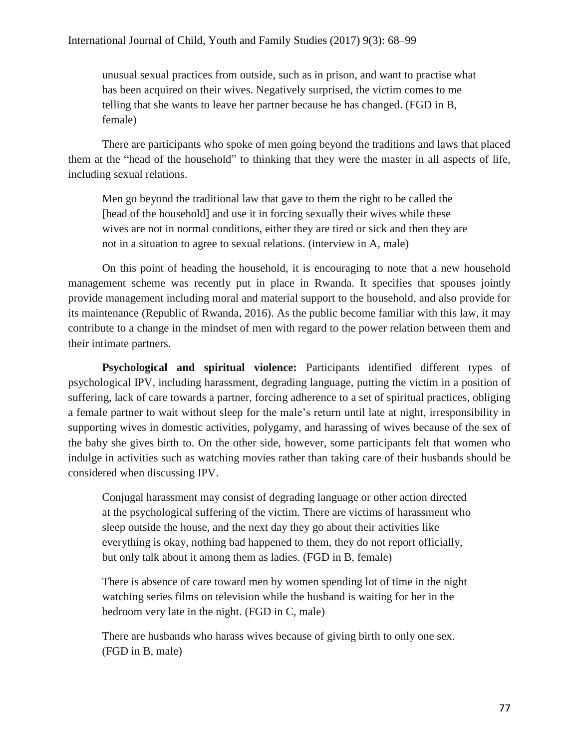unusual sexual practices from outside, such as in prison, and want to practise what has been acquired on their wives. Negatively surprised, the victim comes to me telling that she wants to leave her partner because he has changed. (FGD in B, female)

There are participants who spoke of men going beyond the traditions and laws that placed them at the "head of the household" to thinking that they were the master in all aspects of life, including sexual relations.

Men go beyond the traditional law that gave to them the right to be called the [head of the household] and use it in forcing sexually their wives while these wives are not in normal conditions, either they are tired or sick and then they are not in a situation to agree to sexual relations. (interview in A, male)

On this point of heading the household, it is encouraging to note that a new household management scheme was recently put in place in Rwanda. It specifies that spouses jointly provide management including moral and material support to the household, and also provide for its maintenance (Republic of Rwanda, 2016). As the public become familiar with this law, it may contribute to a change in the mindset of men with regard to the power relation between them and their intimate partners.

**Psychological and spiritual violence:** Participants identified different types of psychological IPV, including harassment, degrading language, putting the victim in a position of suffering, lack of care towards a partner, forcing adherence to a set of spiritual practices, obliging a female partner to wait without sleep for the male's return until late at night, irresponsibility in supporting wives in domestic activities, polygamy, and harassing of wives because of the sex of the baby she gives birth to. On the other side, however, some participants felt that women who indulge in activities such as watching movies rather than taking care of their husbands should be considered when discussing IPV.

Conjugal harassment may consist of degrading language or other action directed at the psychological suffering of the victim. There are victims of harassment who sleep outside the house, and the next day they go about their activities like everything is okay, nothing bad happened to them, they do not report officially, but only talk about it among them as ladies. (FGD in B, female)

There is absence of care toward men by women spending lot of time in the night watching series films on television while the husband is waiting for her in the bedroom very late in the night. (FGD in C, male)

There are husbands who harass wives because of giving birth to only one sex. (FGD in B, male)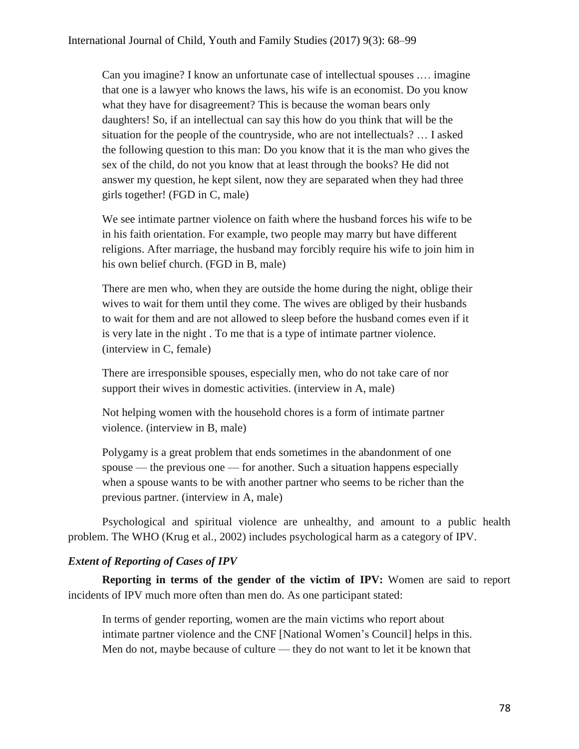Can you imagine? I know an unfortunate case of intellectual spouses .… imagine that one is a lawyer who knows the laws, his wife is an economist. Do you know what they have for disagreement? This is because the woman bears only daughters! So, if an intellectual can say this how do you think that will be the situation for the people of the countryside, who are not intellectuals? … I asked the following question to this man: Do you know that it is the man who gives the sex of the child, do not you know that at least through the books? He did not answer my question, he kept silent, now they are separated when they had three girls together! (FGD in C, male)

We see intimate partner violence on faith where the husband forces his wife to be in his faith orientation. For example, two people may marry but have different religions. After marriage, the husband may forcibly require his wife to join him in his own belief church. (FGD in B, male)

There are men who, when they are outside the home during the night, oblige their wives to wait for them until they come. The wives are obliged by their husbands to wait for them and are not allowed to sleep before the husband comes even if it is very late in the night . To me that is a type of intimate partner violence. (interview in C, female)

There are irresponsible spouses, especially men, who do not take care of nor support their wives in domestic activities. (interview in A, male)

Not helping women with the household chores is a form of intimate partner violence. (interview in B, male)

Polygamy is a great problem that ends sometimes in the abandonment of one spouse — the previous one — for another. Such a situation happens especially when a spouse wants to be with another partner who seems to be richer than the previous partner. (interview in A, male)

Psychological and spiritual violence are unhealthy, and amount to a public health problem. The WHO (Krug et al., 2002) includes psychological harm as a category of IPV.

### *Extent of Reporting of Cases of IPV*

**Reporting in terms of the gender of the victim of IPV:** Women are said to report incidents of IPV much more often than men do. As one participant stated:

In terms of gender reporting, women are the main victims who report about intimate partner violence and the CNF [National Women's Council] helps in this. Men do not, maybe because of culture — they do not want to let it be known that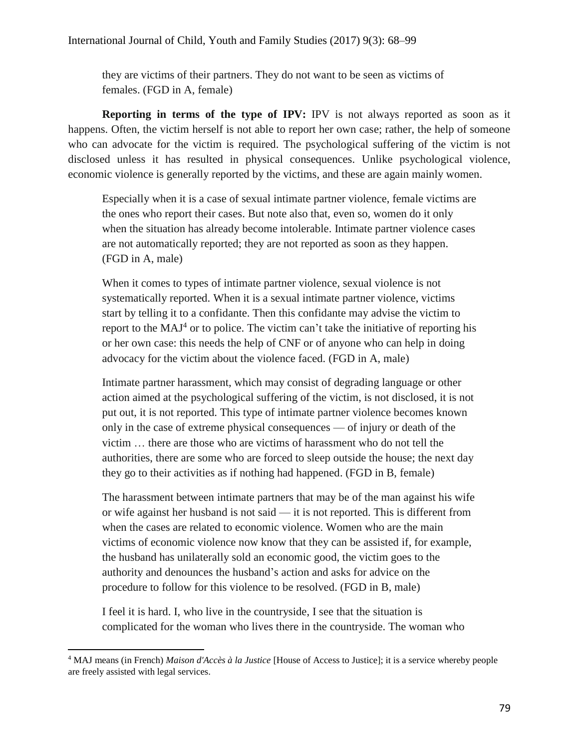they are victims of their partners. They do not want to be seen as victims of females. (FGD in A, female)

**Reporting in terms of the type of IPV:** IPV is not always reported as soon as it happens. Often, the victim herself is not able to report her own case; rather, the help of someone who can advocate for the victim is required. The psychological suffering of the victim is not disclosed unless it has resulted in physical consequences. Unlike psychological violence, economic violence is generally reported by the victims, and these are again mainly women.

Especially when it is a case of sexual intimate partner violence, female victims are the ones who report their cases. But note also that, even so, women do it only when the situation has already become intolerable. Intimate partner violence cases are not automatically reported; they are not reported as soon as they happen. (FGD in A, male)

When it comes to types of intimate partner violence, sexual violence is not systematically reported. When it is a sexual intimate partner violence, victims start by telling it to a confidante. Then this confidante may advise the victim to report to the  $MAJ<sup>4</sup>$  or to police. The victim can't take the initiative of reporting his or her own case: this needs the help of CNF or of anyone who can help in doing advocacy for the victim about the violence faced. (FGD in A, male)

Intimate partner harassment, which may consist of degrading language or other action aimed at the psychological suffering of the victim, is not disclosed, it is not put out, it is not reported. This type of intimate partner violence becomes known only in the case of extreme physical consequences — of injury or death of the victim … there are those who are victims of harassment who do not tell the authorities, there are some who are forced to sleep outside the house; the next day they go to their activities as if nothing had happened. (FGD in B, female)

The harassment between intimate partners that may be of the man against his wife or wife against her husband is not said — it is not reported. This is different from when the cases are related to economic violence. Women who are the main victims of economic violence now know that they can be assisted if, for example, the husband has unilaterally sold an economic good, the victim goes to the authority and denounces the husband's action and asks for advice on the procedure to follow for this violence to be resolved. (FGD in B, male)

I feel it is hard. I, who live in the countryside, I see that the situation is complicated for the woman who lives there in the countryside. The woman who

 $\overline{a}$ 

<sup>4</sup> MAJ means (in French) *Maison d'Accès à la Justice* [House of Access to Justice]; it is a service whereby people are freely assisted with legal services.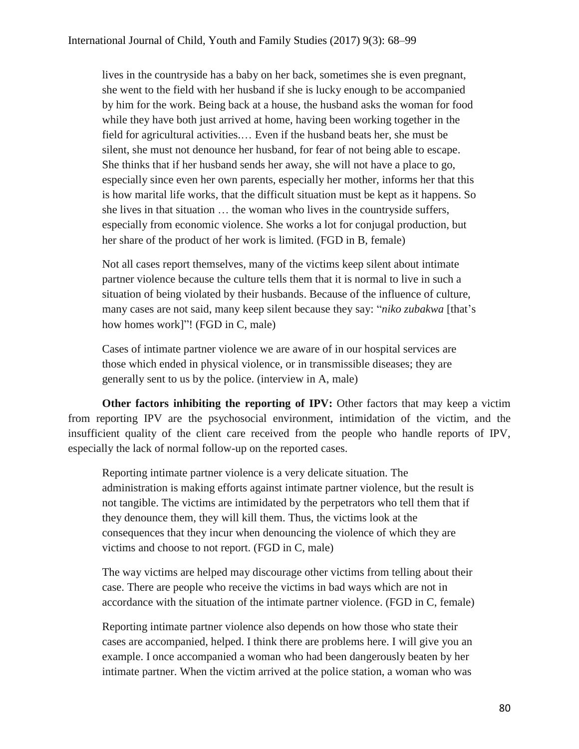lives in the countryside has a baby on her back, sometimes she is even pregnant, she went to the field with her husband if she is lucky enough to be accompanied by him for the work. Being back at a house, the husband asks the woman for food while they have both just arrived at home, having been working together in the field for agricultural activities.… Even if the husband beats her, she must be silent, she must not denounce her husband, for fear of not being able to escape. She thinks that if her husband sends her away, she will not have a place to go, especially since even her own parents, especially her mother, informs her that this is how marital life works, that the difficult situation must be kept as it happens. So she lives in that situation … the woman who lives in the countryside suffers, especially from economic violence. She works a lot for conjugal production, but her share of the product of her work is limited. (FGD in B, female)

Not all cases report themselves, many of the victims keep silent about intimate partner violence because the culture tells them that it is normal to live in such a situation of being violated by their husbands. Because of the influence of culture, many cases are not said, many keep silent because they say: "*niko zubakwa* [that's how homes work]"! (FGD in C, male)

Cases of intimate partner violence we are aware of in our hospital services are those which ended in physical violence, or in transmissible diseases; they are generally sent to us by the police. (interview in A, male)

**Other factors inhibiting the reporting of IPV:** Other factors that may keep a victim from reporting IPV are the psychosocial environment, intimidation of the victim, and the insufficient quality of the client care received from the people who handle reports of IPV, especially the lack of normal follow-up on the reported cases.

Reporting intimate partner violence is a very delicate situation. The administration is making efforts against intimate partner violence, but the result is not tangible. The victims are intimidated by the perpetrators who tell them that if they denounce them, they will kill them. Thus, the victims look at the consequences that they incur when denouncing the violence of which they are victims and choose to not report. (FGD in C, male)

The way victims are helped may discourage other victims from telling about their case. There are people who receive the victims in bad ways which are not in accordance with the situation of the intimate partner violence. (FGD in C, female)

Reporting intimate partner violence also depends on how those who state their cases are accompanied, helped. I think there are problems here. I will give you an example. I once accompanied a woman who had been dangerously beaten by her intimate partner. When the victim arrived at the police station, a woman who was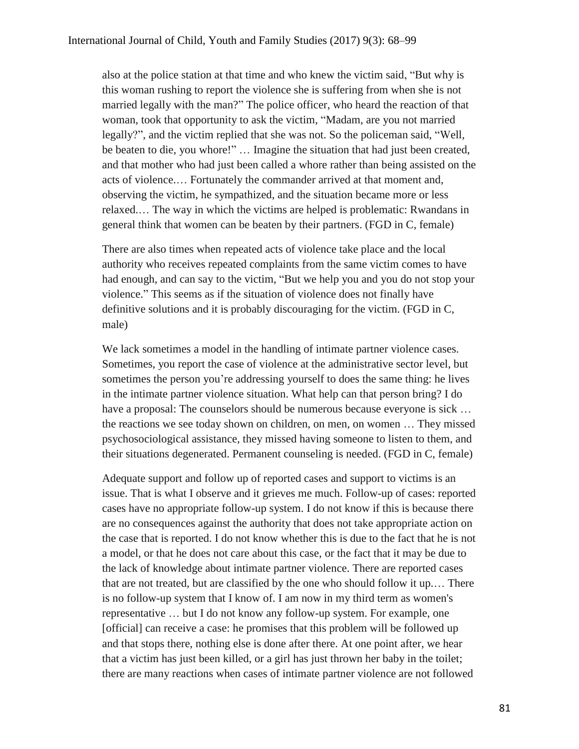also at the police station at that time and who knew the victim said, "But why is this woman rushing to report the violence she is suffering from when she is not married legally with the man?" The police officer, who heard the reaction of that woman, took that opportunity to ask the victim, "Madam, are you not married legally?", and the victim replied that she was not. So the policeman said, "Well, be beaten to die, you whore!" … Imagine the situation that had just been created, and that mother who had just been called a whore rather than being assisted on the acts of violence.… Fortunately the commander arrived at that moment and, observing the victim, he sympathized, and the situation became more or less relaxed.… The way in which the victims are helped is problematic: Rwandans in general think that women can be beaten by their partners. (FGD in C, female)

There are also times when repeated acts of violence take place and the local authority who receives repeated complaints from the same victim comes to have had enough, and can say to the victim, "But we help you and you do not stop your violence." This seems as if the situation of violence does not finally have definitive solutions and it is probably discouraging for the victim. (FGD in C, male)

We lack sometimes a model in the handling of intimate partner violence cases. Sometimes, you report the case of violence at the administrative sector level, but sometimes the person you're addressing yourself to does the same thing: he lives in the intimate partner violence situation. What help can that person bring? I do have a proposal: The counselors should be numerous because everyone is sick … the reactions we see today shown on children, on men, on women … They missed psychosociological assistance, they missed having someone to listen to them, and their situations degenerated. Permanent counseling is needed. (FGD in C, female)

Adequate support and follow up of reported cases and support to victims is an issue. That is what I observe and it grieves me much. Follow-up of cases: reported cases have no appropriate follow-up system. I do not know if this is because there are no consequences against the authority that does not take appropriate action on the case that is reported. I do not know whether this is due to the fact that he is not a model, or that he does not care about this case, or the fact that it may be due to the lack of knowledge about intimate partner violence. There are reported cases that are not treated, but are classified by the one who should follow it up.… There is no follow-up system that I know of. I am now in my third term as women's representative … but I do not know any follow-up system. For example, one [official] can receive a case: he promises that this problem will be followed up and that stops there, nothing else is done after there. At one point after, we hear that a victim has just been killed, or a girl has just thrown her baby in the toilet; there are many reactions when cases of intimate partner violence are not followed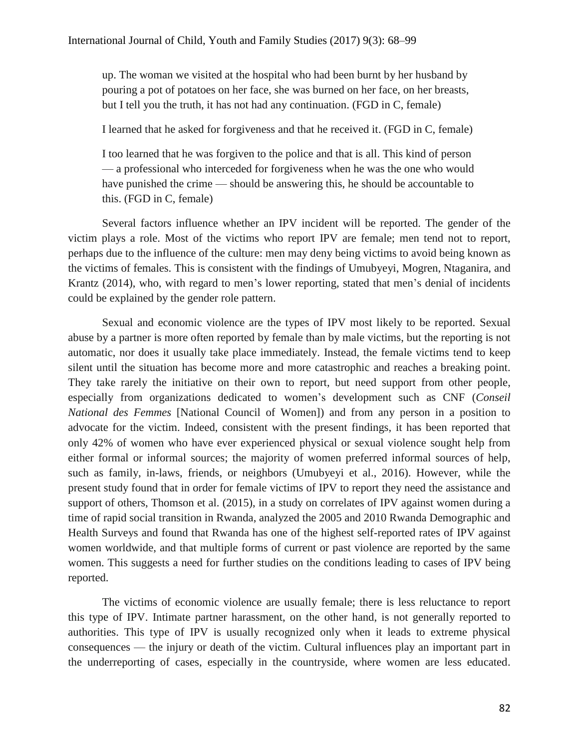up. The woman we visited at the hospital who had been burnt by her husband by pouring a pot of potatoes on her face, she was burned on her face, on her breasts, but I tell you the truth, it has not had any continuation. (FGD in C, female)

I learned that he asked for forgiveness and that he received it. (FGD in C, female)

I too learned that he was forgiven to the police and that is all. This kind of person — a professional who interceded for forgiveness when he was the one who would have punished the crime — should be answering this, he should be accountable to this. (FGD in C, female)

Several factors influence whether an IPV incident will be reported. The gender of the victim plays a role. Most of the victims who report IPV are female; men tend not to report, perhaps due to the influence of the culture: men may deny being victims to avoid being known as the victims of females. This is consistent with the findings of Umubyeyi, Mogren, Ntaganira, and Krantz (2014), who, with regard to men's lower reporting, stated that men's denial of incidents could be explained by the gender role pattern.

Sexual and economic violence are the types of IPV most likely to be reported. Sexual abuse by a partner is more often reported by female than by male victims, but the reporting is not automatic, nor does it usually take place immediately. Instead, the female victims tend to keep silent until the situation has become more and more catastrophic and reaches a breaking point. They take rarely the initiative on their own to report, but need support from other people, especially from organizations dedicated to women's development such as CNF (*Conseil National des Femmes* [National Council of Women]) and from any person in a position to advocate for the victim. Indeed, consistent with the present findings, it has been reported that only 42% of women who have ever experienced physical or sexual violence sought help from either formal or informal sources; the majority of women preferred informal sources of help, such as family, in-laws, friends, or neighbors (Umubyeyi et al., 2016). However, while the present study found that in order for female victims of IPV to report they need the assistance and support of others, Thomson et al. (2015), in a study on correlates of IPV against women during a time of rapid social transition in Rwanda, analyzed the 2005 and 2010 Rwanda Demographic and Health Surveys and found that Rwanda has one of the highest self-reported rates of IPV against women worldwide, and that multiple forms of current or past violence are reported by the same women. This suggests a need for further studies on the conditions leading to cases of IPV being reported.

The victims of economic violence are usually female; there is less reluctance to report this type of IPV. Intimate partner harassment, on the other hand, is not generally reported to authorities. This type of IPV is usually recognized only when it leads to extreme physical consequences — the injury or death of the victim. Cultural influences play an important part in the underreporting of cases, especially in the countryside, where women are less educated.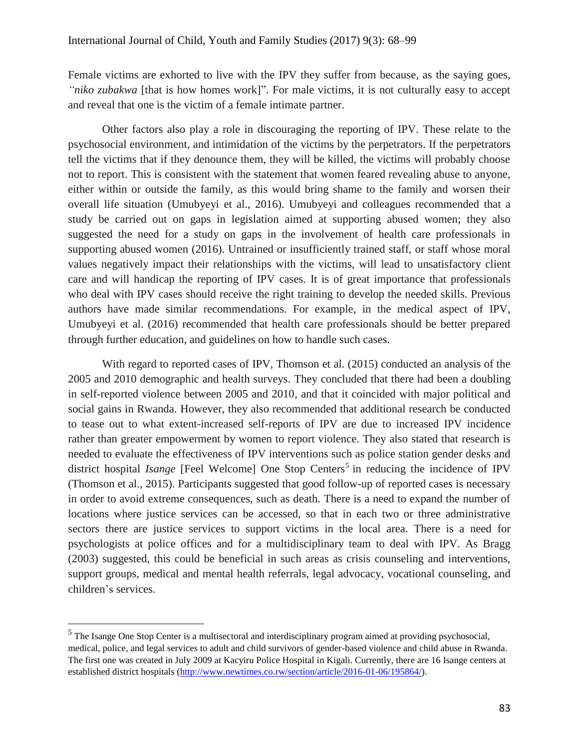Female victims are exhorted to live with the IPV they suffer from because, as the saying goes, *"niko zubakwa* [that is how homes work]". For male victims, it is not culturally easy to accept and reveal that one is the victim of a female intimate partner.

Other factors also play a role in discouraging the reporting of IPV. These relate to the psychosocial environment, and intimidation of the victims by the perpetrators. If the perpetrators tell the victims that if they denounce them, they will be killed, the victims will probably choose not to report. This is consistent with the statement that women feared revealing abuse to anyone, either within or outside the family, as this would bring shame to the family and worsen their overall life situation (Umubyeyi et al., 2016). Umubyeyi and colleagues recommended that a study be carried out on gaps in legislation aimed at supporting abused women; they also suggested the need for a study on gaps in the involvement of health care professionals in supporting abused women (2016). Untrained or insufficiently trained staff, or staff whose moral values negatively impact their relationships with the victims, will lead to unsatisfactory client care and will handicap the reporting of IPV cases. It is of great importance that professionals who deal with IPV cases should receive the right training to develop the needed skills. Previous authors have made similar recommendations. For example, in the medical aspect of IPV, Umubyeyi et al. (2016) recommended that health care professionals should be better prepared through further education, and guidelines on how to handle such cases.

With regard to reported cases of IPV, Thomson et al. (2015) conducted an analysis of the 2005 and 2010 demographic and health surveys. They concluded that there had been a doubling in self-reported violence between 2005 and 2010, and that it coincided with major political and social gains in Rwanda. However, they also recommended that additional research be conducted to tease out to what extent-increased self-reports of IPV are due to increased IPV incidence rather than greater empowerment by women to report violence. They also stated that research is needed to evaluate the effectiveness of IPV interventions such as police station gender desks and district hospital *Isange* [Feel Welcome] One Stop Centers<sup>5</sup> in reducing the incidence of IPV (Thomson et al., 2015). Participants suggested that good follow-up of reported cases is necessary in order to avoid extreme consequences, such as death. There is a need to expand the number of locations where justice services can be accessed, so that in each two or three administrative sectors there are justice services to support victims in the local area. There is a need for psychologists at police offices and for a multidisciplinary team to deal with IPV. As Bragg (2003) suggested, this could be beneficial in such areas as crisis counseling and interventions, support groups, medical and mental health referrals, legal advocacy, vocational counseling, and children's services.

 $\overline{a}$ 

<sup>&</sup>lt;sup>5</sup> The Isange One Stop Center is a multisectoral and interdisciplinary program aimed at providing psychosocial, medical, police, and legal services to adult and child survivors of gender-based violence and child abuse in Rwanda. The first one was created in July 2009 at Kacyiru Police Hospital in Kigali. Currently, there are 16 Isange centers at established district hospitals [\(http://www.newtimes.co.rw/section/article/2016-01-06/195864/\)](http://www.newtimes.co.rw/section/article/2016-01-06/195864/).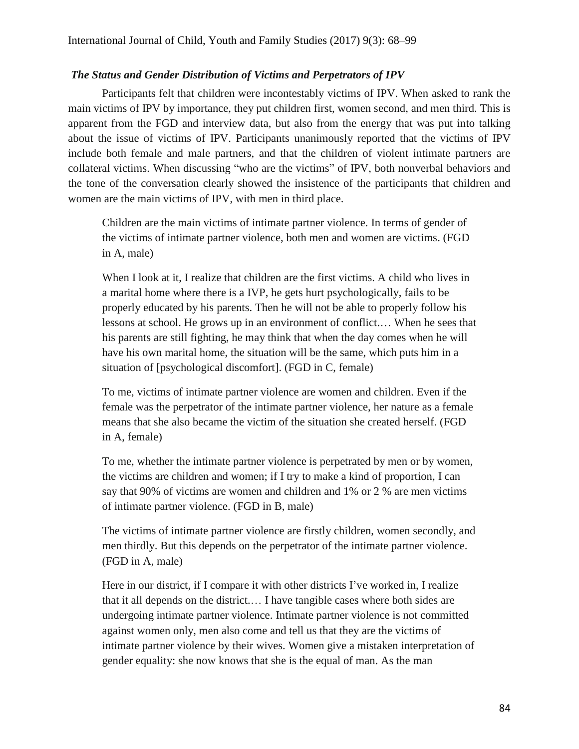### *The Status and Gender Distribution of Victims and Perpetrators of IPV*

Participants felt that children were incontestably victims of IPV. When asked to rank the main victims of IPV by importance, they put children first, women second, and men third. This is apparent from the FGD and interview data, but also from the energy that was put into talking about the issue of victims of IPV. Participants unanimously reported that the victims of IPV include both female and male partners, and that the children of violent intimate partners are collateral victims. When discussing "who are the victims" of IPV, both nonverbal behaviors and the tone of the conversation clearly showed the insistence of the participants that children and women are the main victims of IPV, with men in third place.

Children are the main victims of intimate partner violence. In terms of gender of the victims of intimate partner violence, both men and women are victims. (FGD in A, male)

When I look at it, I realize that children are the first victims. A child who lives in a marital home where there is a IVP, he gets hurt psychologically, fails to be properly educated by his parents. Then he will not be able to properly follow his lessons at school. He grows up in an environment of conflict.… When he sees that his parents are still fighting, he may think that when the day comes when he will have his own marital home, the situation will be the same, which puts him in a situation of [psychological discomfort]. (FGD in C, female)

To me, victims of intimate partner violence are women and children. Even if the female was the perpetrator of the intimate partner violence, her nature as a female means that she also became the victim of the situation she created herself. (FGD in A, female)

To me, whether the intimate partner violence is perpetrated by men or by women, the victims are children and women; if I try to make a kind of proportion, I can say that 90% of victims are women and children and 1% or 2 % are men victims of intimate partner violence. (FGD in B, male)

The victims of intimate partner violence are firstly children, women secondly, and men thirdly. But this depends on the perpetrator of the intimate partner violence. (FGD in A, male)

Here in our district, if I compare it with other districts I've worked in, I realize that it all depends on the district.… I have tangible cases where both sides are undergoing intimate partner violence. Intimate partner violence is not committed against women only, men also come and tell us that they are the victims of intimate partner violence by their wives. Women give a mistaken interpretation of gender equality: she now knows that she is the equal of man. As the man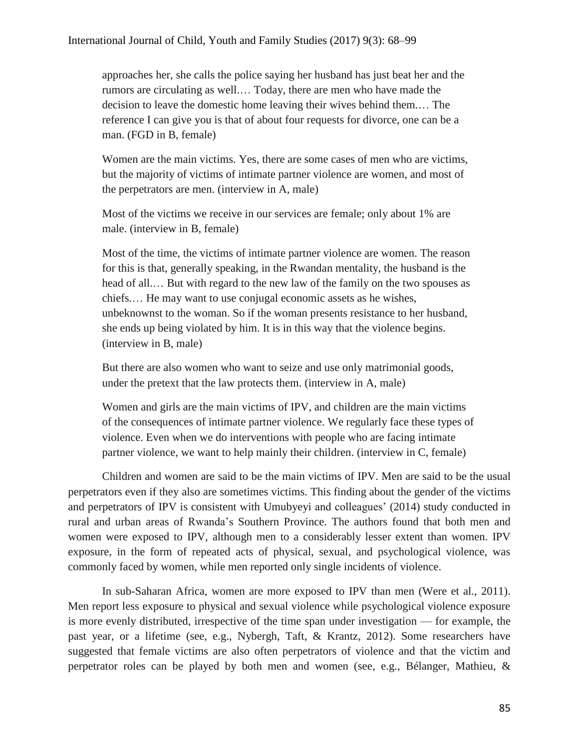approaches her, she calls the police saying her husband has just beat her and the rumors are circulating as well.… Today, there are men who have made the decision to leave the domestic home leaving their wives behind them.… The reference I can give you is that of about four requests for divorce, one can be a man. (FGD in B, female)

Women are the main victims. Yes, there are some cases of men who are victims, but the majority of victims of intimate partner violence are women, and most of the perpetrators are men. (interview in A, male)

Most of the victims we receive in our services are female; only about 1% are male. (interview in B, female)

Most of the time, the victims of intimate partner violence are women. The reason for this is that, generally speaking, in the Rwandan mentality, the husband is the head of all.… But with regard to the new law of the family on the two spouses as chiefs.… He may want to use conjugal economic assets as he wishes, unbeknownst to the woman. So if the woman presents resistance to her husband, she ends up being violated by him. It is in this way that the violence begins. (interview in B, male)

But there are also women who want to seize and use only matrimonial goods, under the pretext that the law protects them. (interview in A, male)

Women and girls are the main victims of IPV, and children are the main victims of the consequences of intimate partner violence. We regularly face these types of violence. Even when we do interventions with people who are facing intimate partner violence, we want to help mainly their children. (interview in C, female)

Children and women are said to be the main victims of IPV. Men are said to be the usual perpetrators even if they also are sometimes victims. This finding about the gender of the victims and perpetrators of IPV is consistent with Umubyeyi and colleagues' (2014) study conducted in rural and urban areas of Rwanda's Southern Province. The authors found that both men and women were exposed to IPV, although men to a considerably lesser extent than women. IPV exposure, in the form of repeated acts of physical, sexual, and psychological violence, was commonly faced by women, while men reported only single incidents of violence.

In sub-Saharan Africa, women are more exposed to IPV than men (Were et al., 2011). Men report less exposure to physical and sexual violence while psychological violence exposure is more evenly distributed, irrespective of the time span under investigation — for example, the past year, or a lifetime (see, e.g., Nybergh, Taft, & Krantz, 2012). Some researchers have suggested that female victims are also often perpetrators of violence and that the victim and perpetrator roles can be played by both men and women (see, e.g., Bélanger, Mathieu, &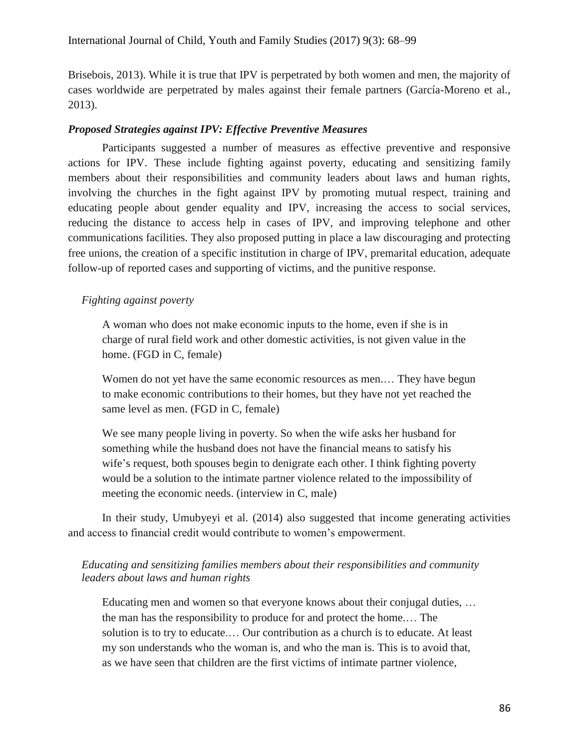Brisebois, 2013). While it is true that IPV is perpetrated by both women and men, the majority of cases worldwide are perpetrated by males against their female partners (García-Moreno et al., 2013).

### *Proposed Strategies against IPV: Effective Preventive Measures*

Participants suggested a number of measures as effective preventive and responsive actions for IPV. These include fighting against poverty, educating and sensitizing family members about their responsibilities and community leaders about laws and human rights, involving the churches in the fight against IPV by promoting mutual respect, training and educating people about gender equality and IPV, increasing the access to social services, reducing the distance to access help in cases of IPV, and improving telephone and other communications facilities. They also proposed putting in place a law discouraging and protecting free unions, the creation of a specific institution in charge of IPV, premarital education, adequate follow-up of reported cases and supporting of victims, and the punitive response.

### *Fighting against poverty*

A woman who does not make economic inputs to the home, even if she is in charge of rural field work and other domestic activities, is not given value in the home. (FGD in C, female)

Women do not yet have the same economic resources as men.… They have begun to make economic contributions to their homes, but they have not yet reached the same level as men. (FGD in C, female)

We see many people living in poverty. So when the wife asks her husband for something while the husband does not have the financial means to satisfy his wife's request, both spouses begin to denigrate each other. I think fighting poverty would be a solution to the intimate partner violence related to the impossibility of meeting the economic needs. (interview in C, male)

In their study, Umubyeyi et al. (2014) also suggested that income generating activities and access to financial credit would contribute to women's empowerment.

### *Educating and sensitizing families members about their responsibilities and community leaders about laws and human rights*

Educating men and women so that everyone knows about their conjugal duties, … the man has the responsibility to produce for and protect the home.… The solution is to try to educate.… Our contribution as a church is to educate. At least my son understands who the woman is, and who the man is. This is to avoid that, as we have seen that children are the first victims of intimate partner violence,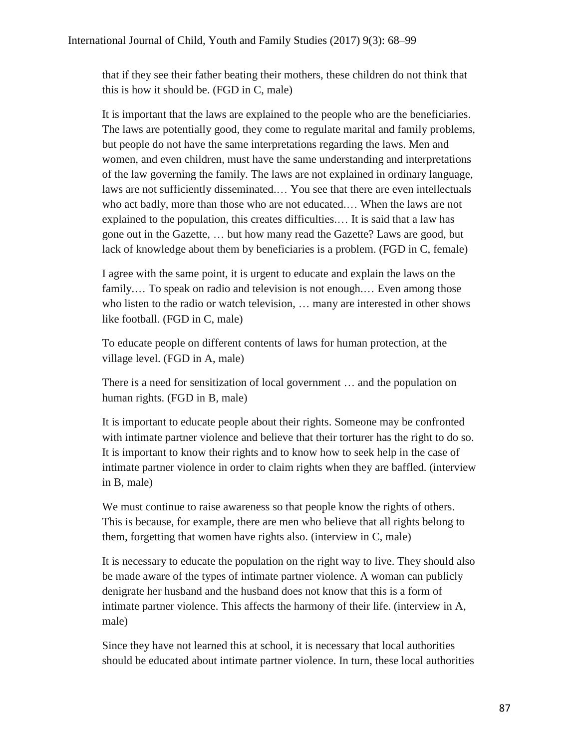that if they see their father beating their mothers, these children do not think that this is how it should be. (FGD in C, male)

It is important that the laws are explained to the people who are the beneficiaries. The laws are potentially good, they come to regulate marital and family problems, but people do not have the same interpretations regarding the laws. Men and women, and even children, must have the same understanding and interpretations of the law governing the family. The laws are not explained in ordinary language, laws are not sufficiently disseminated.… You see that there are even intellectuals who act badly, more than those who are not educated.… When the laws are not explained to the population, this creates difficulties.… It is said that a law has gone out in the Gazette, … but how many read the Gazette? Laws are good, but lack of knowledge about them by beneficiaries is a problem. (FGD in C, female)

I agree with the same point, it is urgent to educate and explain the laws on the family.... To speak on radio and television is not enough.... Even among those who listen to the radio or watch television, … many are interested in other shows like football. (FGD in C, male)

To educate people on different contents of laws for human protection, at the village level. (FGD in A, male)

There is a need for sensitization of local government … and the population on human rights. (FGD in B, male)

It is important to educate people about their rights. Someone may be confronted with intimate partner violence and believe that their torturer has the right to do so. It is important to know their rights and to know how to seek help in the case of intimate partner violence in order to claim rights when they are baffled. (interview in B, male)

We must continue to raise awareness so that people know the rights of others. This is because, for example, there are men who believe that all rights belong to them, forgetting that women have rights also. (interview in C, male)

It is necessary to educate the population on the right way to live. They should also be made aware of the types of intimate partner violence. A woman can publicly denigrate her husband and the husband does not know that this is a form of intimate partner violence. This affects the harmony of their life. (interview in A, male)

Since they have not learned this at school, it is necessary that local authorities should be educated about intimate partner violence. In turn, these local authorities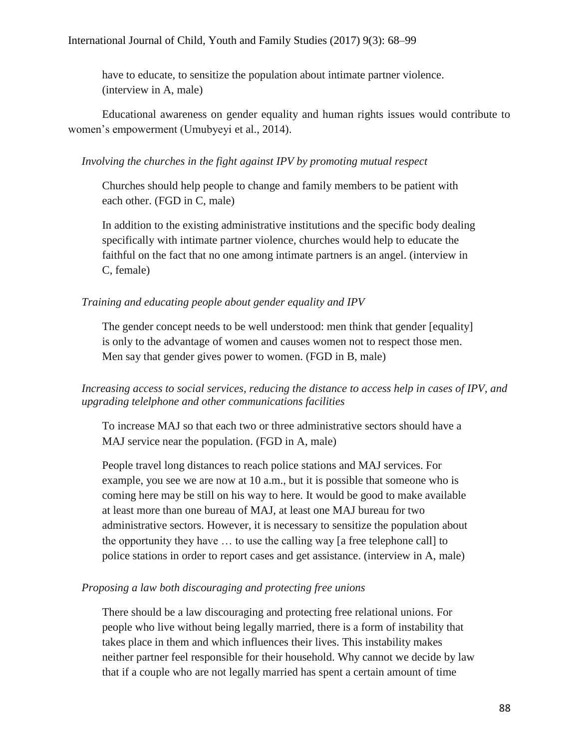have to educate, to sensitize the population about intimate partner violence. (interview in A, male)

Educational awareness on gender equality and human rights issues would contribute to women's empowerment (Umubyeyi et al., 2014).

### *Involving the churches in the fight against IPV by promoting mutual respect*

Churches should help people to change and family members to be patient with each other. (FGD in C, male)

In addition to the existing administrative institutions and the specific body dealing specifically with intimate partner violence, churches would help to educate the faithful on the fact that no one among intimate partners is an angel. (interview in C, female)

### *Training and educating people about gender equality and IPV*

The gender concept needs to be well understood: men think that gender [equality] is only to the advantage of women and causes women not to respect those men. Men say that gender gives power to women. (FGD in B, male)

### *Increasing access to social services, reducing the distance to access help in cases of IPV, and upgrading telelphone and other communications facilities*

To increase MAJ so that each two or three administrative sectors should have a MAJ service near the population. (FGD in A, male)

People travel long distances to reach police stations and MAJ services. For example, you see we are now at 10 a.m., but it is possible that someone who is coming here may be still on his way to here. It would be good to make available at least more than one bureau of MAJ, at least one MAJ bureau for two administrative sectors. However, it is necessary to sensitize the population about the opportunity they have … to use the calling way [a free telephone call] to police stations in order to report cases and get assistance. (interview in A, male)

### *Proposing a law both discouraging and protecting free unions*

There should be a law discouraging and protecting free relational unions. For people who live without being legally married, there is a form of instability that takes place in them and which influences their lives. This instability makes neither partner feel responsible for their household. Why cannot we decide by law that if a couple who are not legally married has spent a certain amount of time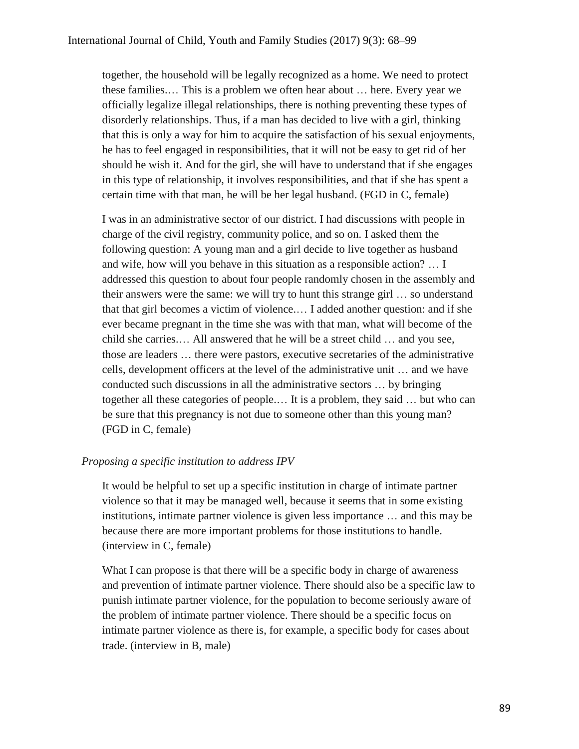together, the household will be legally recognized as a home. We need to protect these families.… This is a problem we often hear about … here. Every year we officially legalize illegal relationships, there is nothing preventing these types of disorderly relationships. Thus, if a man has decided to live with a girl, thinking that this is only a way for him to acquire the satisfaction of his sexual enjoyments, he has to feel engaged in responsibilities, that it will not be easy to get rid of her should he wish it. And for the girl, she will have to understand that if she engages in this type of relationship, it involves responsibilities, and that if she has spent a certain time with that man, he will be her legal husband. (FGD in C, female)

I was in an administrative sector of our district. I had discussions with people in charge of the civil registry, community police, and so on. I asked them the following question: A young man and a girl decide to live together as husband and wife, how will you behave in this situation as a responsible action? … I addressed this question to about four people randomly chosen in the assembly and their answers were the same: we will try to hunt this strange girl … so understand that that girl becomes a victim of violence.… I added another question: and if she ever became pregnant in the time she was with that man, what will become of the child she carries.… All answered that he will be a street child … and you see, those are leaders … there were pastors, executive secretaries of the administrative cells, development officers at the level of the administrative unit … and we have conducted such discussions in all the administrative sectors … by bringing together all these categories of people.… It is a problem, they said … but who can be sure that this pregnancy is not due to someone other than this young man? (FGD in C, female)

### *Proposing a specific institution to address IPV*

It would be helpful to set up a specific institution in charge of intimate partner violence so that it may be managed well, because it seems that in some existing institutions, intimate partner violence is given less importance … and this may be because there are more important problems for those institutions to handle. (interview in C, female)

What I can propose is that there will be a specific body in charge of awareness and prevention of intimate partner violence. There should also be a specific law to punish intimate partner violence, for the population to become seriously aware of the problem of intimate partner violence. There should be a specific focus on intimate partner violence as there is, for example, a specific body for cases about trade. (interview in B, male)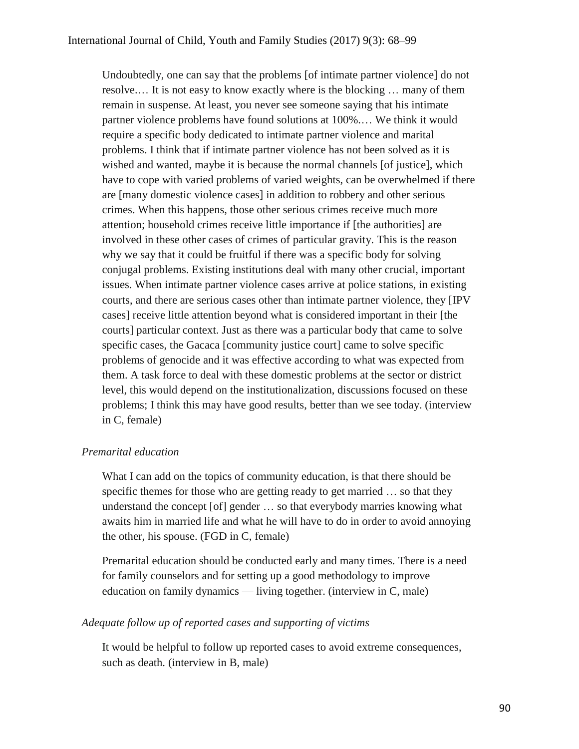Undoubtedly, one can say that the problems [of intimate partner violence] do not resolve.… It is not easy to know exactly where is the blocking … many of them remain in suspense. At least, you never see someone saying that his intimate partner violence problems have found solutions at 100%.… We think it would require a specific body dedicated to intimate partner violence and marital problems. I think that if intimate partner violence has not been solved as it is wished and wanted, maybe it is because the normal channels [of justice], which have to cope with varied problems of varied weights, can be overwhelmed if there are [many domestic violence cases] in addition to robbery and other serious crimes. When this happens, those other serious crimes receive much more attention; household crimes receive little importance if [the authorities] are involved in these other cases of crimes of particular gravity. This is the reason why we say that it could be fruitful if there was a specific body for solving conjugal problems. Existing institutions deal with many other crucial, important issues. When intimate partner violence cases arrive at police stations, in existing courts, and there are serious cases other than intimate partner violence, they [IPV cases] receive little attention beyond what is considered important in their [the courts] particular context. Just as there was a particular body that came to solve specific cases, the Gacaca [community justice court] came to solve specific problems of genocide and it was effective according to what was expected from them. A task force to deal with these domestic problems at the sector or district level, this would depend on the institutionalization, discussions focused on these problems; I think this may have good results, better than we see today. (interview in C, female)

### *Premarital education*

What I can add on the topics of community education, is that there should be specific themes for those who are getting ready to get married … so that they understand the concept [of] gender … so that everybody marries knowing what awaits him in married life and what he will have to do in order to avoid annoying the other, his spouse. (FGD in C, female)

Premarital education should be conducted early and many times. There is a need for family counselors and for setting up a good methodology to improve education on family dynamics — living together. (interview in C, male)

### *Adequate follow up of reported cases and supporting of victims*

It would be helpful to follow up reported cases to avoid extreme consequences, such as death. (interview in B, male)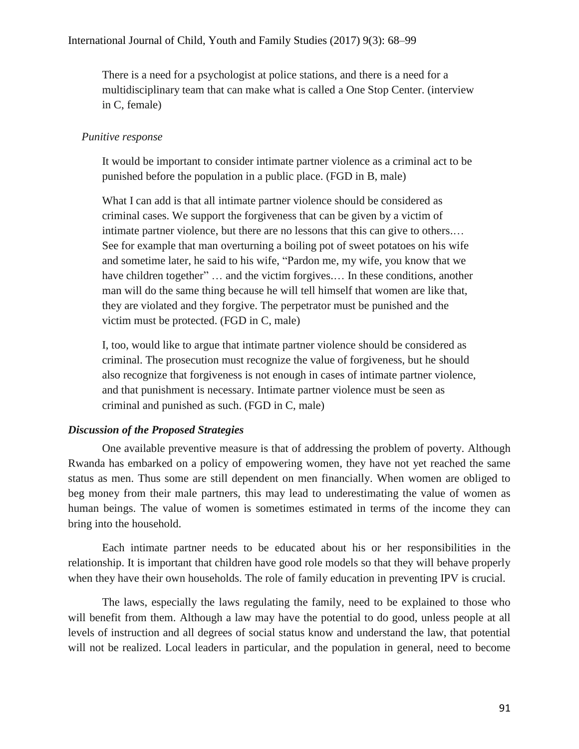There is a need for a psychologist at police stations, and there is a need for a multidisciplinary team that can make what is called a One Stop Center. (interview in C, female)

### *Punitive response*

It would be important to consider intimate partner violence as a criminal act to be punished before the population in a public place. (FGD in B, male)

What I can add is that all intimate partner violence should be considered as criminal cases. We support the forgiveness that can be given by a victim of intimate partner violence, but there are no lessons that this can give to others.… See for example that man overturning a boiling pot of sweet potatoes on his wife and sometime later, he said to his wife, "Pardon me, my wife, you know that we have children together" ... and the victim forgives.... In these conditions, another man will do the same thing because he will tell himself that women are like that, they are violated and they forgive. The perpetrator must be punished and the victim must be protected. (FGD in C, male)

I, too, would like to argue that intimate partner violence should be considered as criminal. The prosecution must recognize the value of forgiveness, but he should also recognize that forgiveness is not enough in cases of intimate partner violence, and that punishment is necessary. Intimate partner violence must be seen as criminal and punished as such. (FGD in C, male)

### *Discussion of the Proposed Strategies*

One available preventive measure is that of addressing the problem of poverty. Although Rwanda has embarked on a policy of empowering women, they have not yet reached the same status as men. Thus some are still dependent on men financially. When women are obliged to beg money from their male partners, this may lead to underestimating the value of women as human beings. The value of women is sometimes estimated in terms of the income they can bring into the household.

Each intimate partner needs to be educated about his or her responsibilities in the relationship. It is important that children have good role models so that they will behave properly when they have their own households. The role of family education in preventing IPV is crucial.

The laws, especially the laws regulating the family, need to be explained to those who will benefit from them. Although a law may have the potential to do good, unless people at all levels of instruction and all degrees of social status know and understand the law, that potential will not be realized. Local leaders in particular, and the population in general, need to become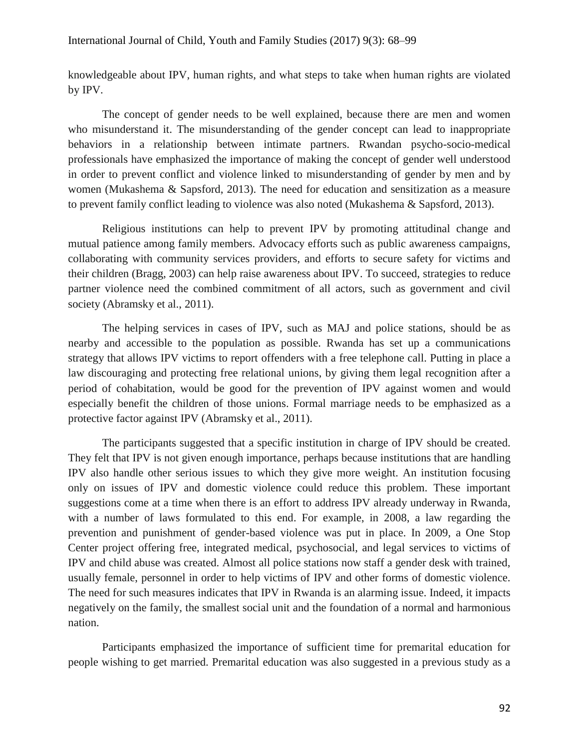knowledgeable about IPV, human rights, and what steps to take when human rights are violated by IPV.

The concept of gender needs to be well explained, because there are men and women who misunderstand it. The misunderstanding of the gender concept can lead to inappropriate behaviors in a relationship between intimate partners. Rwandan psycho-socio-medical professionals have emphasized the importance of making the concept of gender well understood in order to prevent conflict and violence linked to misunderstanding of gender by men and by women (Mukashema & Sapsford, 2013). The need for education and sensitization as a measure to prevent family conflict leading to violence was also noted (Mukashema & Sapsford, 2013).

Religious institutions can help to prevent IPV by promoting attitudinal change and mutual patience among family members. Advocacy efforts such as public awareness campaigns, collaborating with community services providers, and efforts to secure safety for victims and their children (Bragg, 2003) can help raise awareness about IPV. To succeed, strategies to reduce partner violence need the combined commitment of all actors, such as government and civil society (Abramsky et al., 2011).

The helping services in cases of IPV, such as MAJ and police stations, should be as nearby and accessible to the population as possible. Rwanda has set up a communications strategy that allows IPV victims to report offenders with a free telephone call. Putting in place a law discouraging and protecting free relational unions, by giving them legal recognition after a period of cohabitation, would be good for the prevention of IPV against women and would especially benefit the children of those unions. Formal marriage needs to be emphasized as a protective factor against IPV (Abramsky et al., 2011).

The participants suggested that a specific institution in charge of IPV should be created. They felt that IPV is not given enough importance, perhaps because institutions that are handling IPV also handle other serious issues to which they give more weight. An institution focusing only on issues of IPV and domestic violence could reduce this problem. These important suggestions come at a time when there is an effort to address IPV already underway in Rwanda, with a number of laws formulated to this end. For example, in 2008, a law regarding the prevention and punishment of gender-based violence was put in place. In 2009, a One Stop Center project offering free, integrated medical, psychosocial, and legal services to victims of IPV and child abuse was created. Almost all police stations now staff a gender desk with trained, usually female, personnel in order to help victims of IPV and other forms of domestic violence. The need for such measures indicates that IPV in Rwanda is an alarming issue. Indeed, it impacts negatively on the family, the smallest social unit and the foundation of a normal and harmonious nation.

Participants emphasized the importance of sufficient time for premarital education for people wishing to get married. Premarital education was also suggested in a previous study as a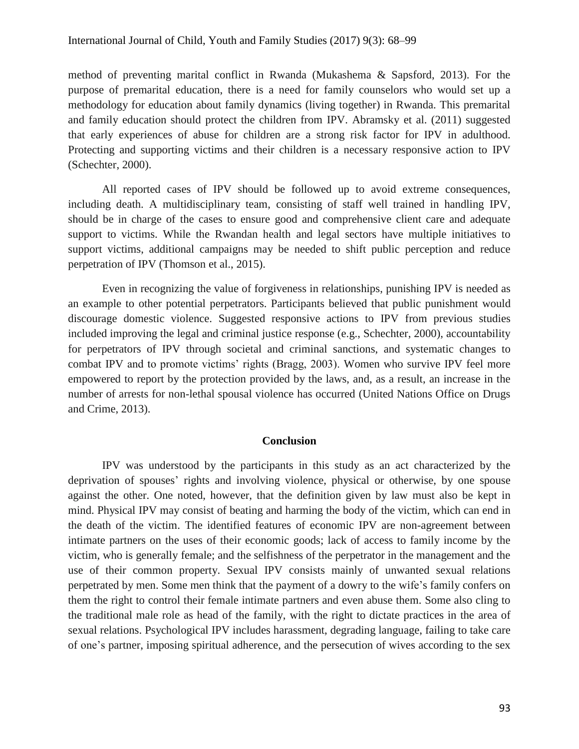method of preventing marital conflict in Rwanda (Mukashema & Sapsford, 2013). For the purpose of premarital education, there is a need for family counselors who would set up a methodology for education about family dynamics (living together) in Rwanda. This premarital and family education should protect the children from IPV. Abramsky et al. (2011) suggested that early experiences of abuse for children are a strong risk factor for IPV in adulthood. Protecting and supporting victims and their children is a necessary responsive action to IPV (Schechter, 2000).

All reported cases of IPV should be followed up to avoid extreme consequences, including death. A multidisciplinary team, consisting of staff well trained in handling IPV, should be in charge of the cases to ensure good and comprehensive client care and adequate support to victims. While the Rwandan health and legal sectors have multiple initiatives to support victims, additional campaigns may be needed to shift public perception and reduce perpetration of IPV (Thomson et al., 2015).

Even in recognizing the value of forgiveness in relationships, punishing IPV is needed as an example to other potential perpetrators. Participants believed that public punishment would discourage domestic violence. Suggested responsive actions to IPV from previous studies included improving the legal and criminal justice response (e.g., Schechter, 2000), accountability for perpetrators of IPV through societal and criminal sanctions, and systematic changes to combat IPV and to promote victims' rights (Bragg, 2003). Women who survive IPV feel more empowered to report by the protection provided by the laws, and, as a result, an increase in the number of arrests for non-lethal spousal violence has occurred (United Nations Office on Drugs and Crime, 2013).

#### **Conclusion**

IPV was understood by the participants in this study as an act characterized by the deprivation of spouses' rights and involving violence, physical or otherwise, by one spouse against the other. One noted, however, that the definition given by law must also be kept in mind. Physical IPV may consist of beating and harming the body of the victim, which can end in the death of the victim. The identified features of economic IPV are non-agreement between intimate partners on the uses of their economic goods; lack of access to family income by the victim, who is generally female; and the selfishness of the perpetrator in the management and the use of their common property. Sexual IPV consists mainly of unwanted sexual relations perpetrated by men. Some men think that the payment of a dowry to the wife's family confers on them the right to control their female intimate partners and even abuse them. Some also cling to the traditional male role as head of the family, with the right to dictate practices in the area of sexual relations. Psychological IPV includes harassment, degrading language, failing to take care of one's partner, imposing spiritual adherence, and the persecution of wives according to the sex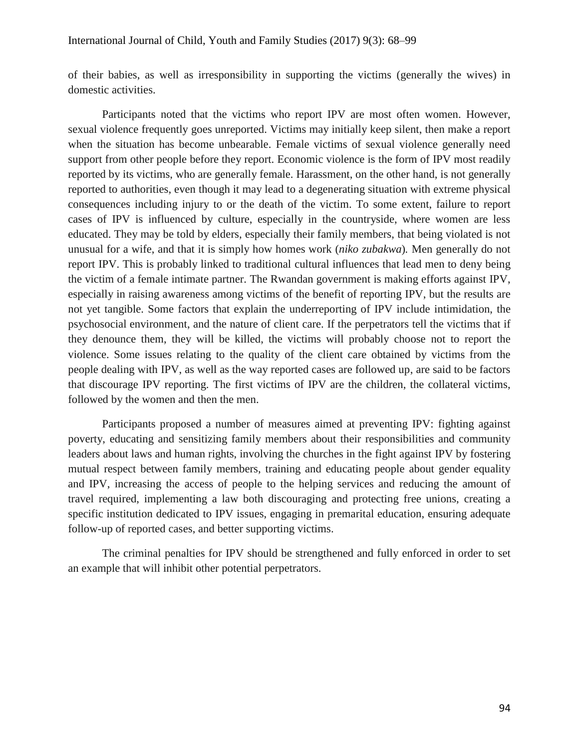of their babies, as well as irresponsibility in supporting the victims (generally the wives) in domestic activities.

Participants noted that the victims who report IPV are most often women. However, sexual violence frequently goes unreported. Victims may initially keep silent, then make a report when the situation has become unbearable. Female victims of sexual violence generally need support from other people before they report. Economic violence is the form of IPV most readily reported by its victims, who are generally female. Harassment, on the other hand, is not generally reported to authorities, even though it may lead to a degenerating situation with extreme physical consequences including injury to or the death of the victim. To some extent, failure to report cases of IPV is influenced by culture, especially in the countryside, where women are less educated. They may be told by elders, especially their family members, that being violated is not unusual for a wife, and that it is simply how homes work (*niko zubakwa*)*.* Men generally do not report IPV. This is probably linked to traditional cultural influences that lead men to deny being the victim of a female intimate partner. The Rwandan government is making efforts against IPV, especially in raising awareness among victims of the benefit of reporting IPV, but the results are not yet tangible. Some factors that explain the underreporting of IPV include intimidation, the psychosocial environment, and the nature of client care. If the perpetrators tell the victims that if they denounce them, they will be killed, the victims will probably choose not to report the violence. Some issues relating to the quality of the client care obtained by victims from the people dealing with IPV, as well as the way reported cases are followed up, are said to be factors that discourage IPV reporting. The first victims of IPV are the children, the collateral victims, followed by the women and then the men.

Participants proposed a number of measures aimed at preventing IPV: fighting against poverty, educating and sensitizing family members about their responsibilities and community leaders about laws and human rights, involving the churches in the fight against IPV by fostering mutual respect between family members, training and educating people about gender equality and IPV, increasing the access of people to the helping services and reducing the amount of travel required, implementing a law both discouraging and protecting free unions, creating a specific institution dedicated to IPV issues, engaging in premarital education, ensuring adequate follow-up of reported cases, and better supporting victims.

The criminal penalties for IPV should be strengthened and fully enforced in order to set an example that will inhibit other potential perpetrators.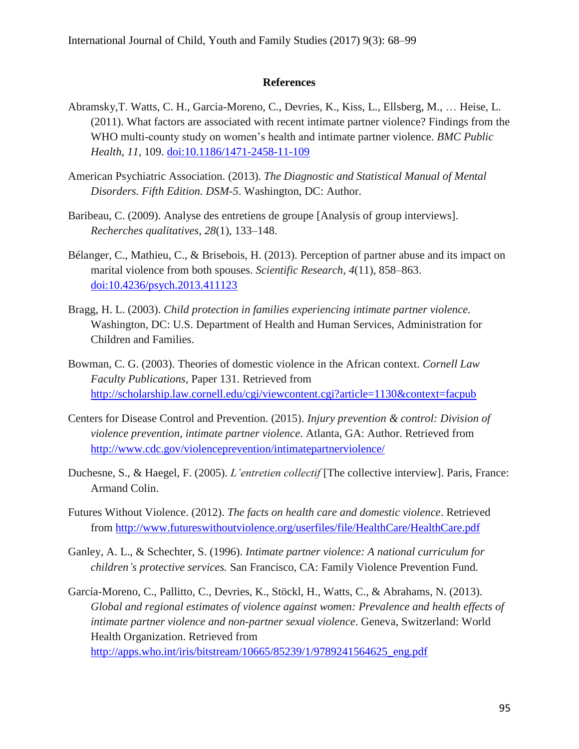### **References**

- Abramsky,T. Watts, C. H., Garcia-Moreno, C., Devries, K., Kiss, L., Ellsberg, M., … Heise, L. (2011). What factors are associated with recent intimate partner violence? Findings from the WHO multi-county study on women's health and intimate partner violence. *BMC Public Health*, *11*, 109. [doi:10.1186/1471-2458-11-109](http://dx.doi.org/10.1186/1471-2458-11-109)
- American Psychiatric Association. (2013). *The Diagnostic and Statistical Manual of Mental Disorders. Fifth Edition. DSM-5*. Washington, DC: Author.
- Baribeau, C. (2009). Analyse des entretiens de groupe [Analysis of group interviews]. *Recherches qualitatives*, *28*(1), 133–148.
- Bélanger, C., Mathieu, C., & Brisebois, H. (2013). Perception of partner abuse and its impact on marital violence from both spouses. *Scientific Research, 4*(11), 858–863. [doi:10.4236/psych.2013.411123](http://dx.doi.org/10.4236/psych.2013.411123)
- Bragg, H. L. (2003). *Child protection in families experiencing intimate partner violence.* Washington, DC: U.S. Department of Health and Human Services, Administration for Children and Families.
- Bowman, C. G. (2003). Theories of domestic violence in the African context. *Cornell Law Faculty Publications,* Paper 131. Retrieved from <http://scholarship.law.cornell.edu/cgi/viewcontent.cgi?article=1130&context=facpub>
- Centers for Disease Control and Prevention. (2015). *Injury prevention & control: Division of violence prevention, intimate partner violence*. Atlanta, GA: Author. Retrieved from <http://www.cdc.gov/violenceprevention/intimatepartnerviolence/>
- Duchesne, S., & Haegel, F. (2005). *L'entretien collectif* [The collective interview]. Paris, France: Armand Colin.
- Futures Without Violence. (2012). *The facts on health care and domestic violence*. Retrieved from<http://www.futureswithoutviolence.org/userfiles/file/HealthCare/HealthCare.pdf>
- Ganley, A. L., & Schechter, S. (1996). *Intimate partner violence: A national curriculum for children's protective services.* San Francisco, CA: Family Violence Prevention Fund.
- García-Moreno, C., Pallitto, C., Devries, K., Stöckl, H., Watts, C., & Abrahams, N. (2013). *Global and regional estimates of violence against women: Prevalence and health effects of intimate partner violence and non-partner sexual violence*. Geneva, Switzerland: World Health Organization. Retrieved from

[http://apps.who.int/iris/bitstream/10665/85239/1/9789241564625\\_eng.pdf](http://apps.who.int/iris/bitstream/10665/85239/1/9789241564625_eng.pdf)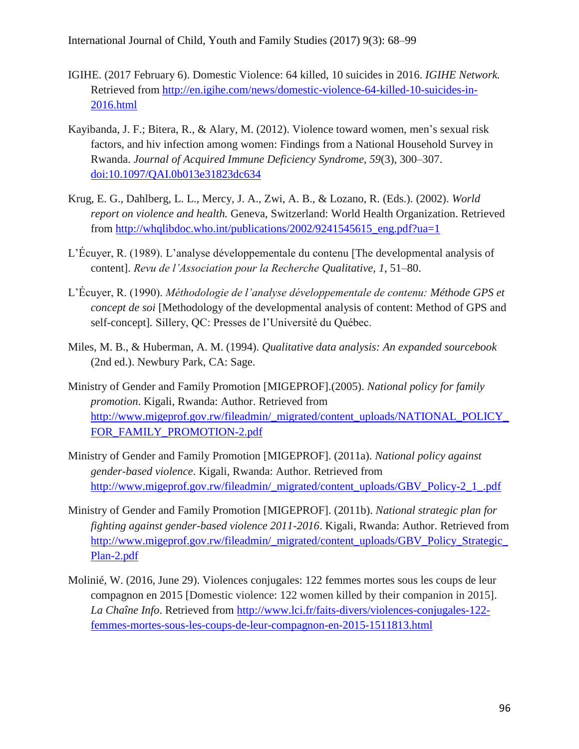- IGIHE. (2017 February 6). Domestic Violence: 64 killed, 10 suicides in 2016. *IGIHE Network.* Retrieved from [http://en.igihe.com/news/domestic-violence-64-killed-10-suicides-in-](http://en.igihe.com/news/domestic-violence-64-killed-10-suicides-in-2016.html)[2016.html](http://en.igihe.com/news/domestic-violence-64-killed-10-suicides-in-2016.html)
- Kayibanda, J. F.; Bitera, R., & Alary, M. (2012). Violence toward women, men's sexual risk factors, and hiv infection among women: Findings from a National Household Survey in Rwanda. *Journal of Acquired Immune Deficiency Syndrome, 59*(3), 300–307. [doi:10.1097/QAI.0b013e31823dc634](http://dx.doi.org/10.1097/QAI.0b013e31823dc634)
- Krug, E. G., Dahlberg, L. L., Mercy, J. A., Zwi, A. B., & Lozano, R. (Eds.). (2002). *World report on violence and health.* Geneva, Switzerland: World Health Organization. Retrieved from [http://whqlibdoc.who.int/publications/2002/9241545615\\_eng.pdf?ua=1](http://whqlibdoc.who.int/publications/2002/9241545615_eng.pdf?ua=1)
- L'Écuyer, R. (1989). L'analyse développementale du contenu [The developmental analysis of content]. *Revu de l'Association pour la Recherche Qualitative, 1*, 51–80.
- L'Écuyer, R. (1990). *Méthodologie de l'analyse développementale de contenu: Méthode GPS et concept de soi* [Methodology of the developmental analysis of content: Method of GPS and self-concept]*.* Sillery, QC: Presses de l'Université du Québec.
- Miles, M. B., & Huberman, A. M. (1994). *Qualitative data analysis: An expanded sourcebook* (2nd ed.). Newbury Park, CA: Sage.
- Ministry of Gender and Family Promotion [MIGEPROF].(2005). *National policy for family promotion*. Kigali, Rwanda: Author. Retrieved from [http://www.migeprof.gov.rw/fileadmin/\\_migrated/content\\_uploads/NATIONAL\\_POLICY\\_](http://www.migeprof.gov.rw/fileadmin/_migrated/content_uploads/NATIONAL_POLICY_FOR_FAMILY_PROMOTION-2.pdf) [FOR\\_FAMILY\\_PROMOTION-2.pdf](http://www.migeprof.gov.rw/fileadmin/_migrated/content_uploads/NATIONAL_POLICY_FOR_FAMILY_PROMOTION-2.pdf)
- Ministry of Gender and Family Promotion [MIGEPROF]. (2011a). *National policy against gender-based violence*. Kigali, Rwanda: Author. Retrieved from [http://www.migeprof.gov.rw/fileadmin/\\_migrated/content\\_uploads/GBV\\_Policy-2\\_1\\_.pdf](http://www.migeprof.gov.rw/fileadmin/_migrated/content_uploads/GBV_Policy-2_1_.pdf)
- Ministry of Gender and Family Promotion [MIGEPROF]. (2011b). *National strategic plan for fighting against gender-based violence 2011-2016*. Kigali, Rwanda: Author. Retrieved from [http://www.migeprof.gov.rw/fileadmin/\\_migrated/content\\_uploads/GBV\\_Policy\\_Strategic\\_](http://www.migeprof.gov.rw/fileadmin/_migrated/content_uploads/GBV_Policy_Strategic_Plan-2.pdf) [Plan-2.pdf](http://www.migeprof.gov.rw/fileadmin/_migrated/content_uploads/GBV_Policy_Strategic_Plan-2.pdf)
- Molinié, W. (2016, June 29). Violences conjugales: 122 femmes mortes sous les coups de leur compagnon en 2015 [Domestic violence: 122 women killed by their companion in 2015]. *La Chaîne Info*. Retrieved from [http://www.lci.fr/faits-divers/violences-conjugales-122](http://www.lci.fr/faits-divers/violences-conjugales-122-femmes-mortes-sous-les-coups-de-leur-compagnon-en-2015-1511813.html) [femmes-mortes-sous-les-coups-de-leur-compagnon-en-2015-1511813.html](http://www.lci.fr/faits-divers/violences-conjugales-122-femmes-mortes-sous-les-coups-de-leur-compagnon-en-2015-1511813.html)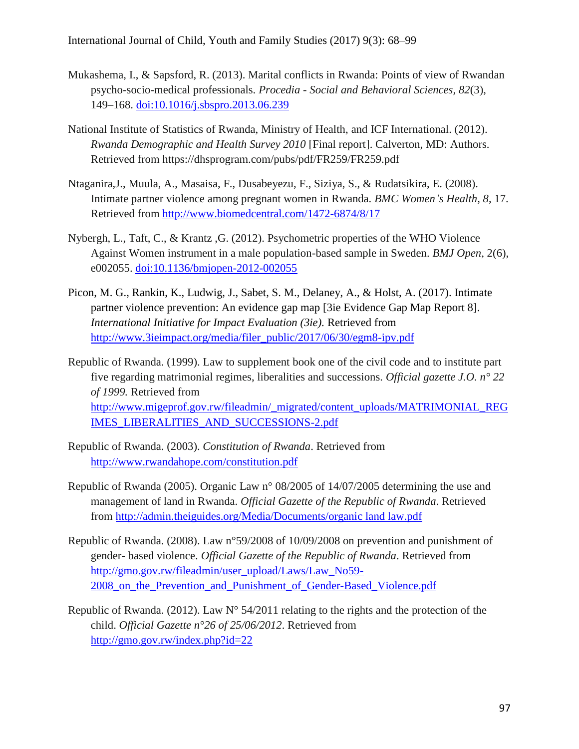- Mukashema, I., & Sapsford, R. (2013). Marital conflicts in Rwanda: Points of view of Rwandan psycho-socio-medical professionals. *Procedia - Social and Behavioral Sciences, 82*(3), 149–168. [doi:10.1016/j.sbspro.2013.06.239](http://dx.doi.org/10.1016/j.sbspro.2013.06.239)
- National Institute of Statistics of Rwanda, Ministry of Health, and ICF International. (2012). *Rwanda Demographic and Health Survey 2010* [Final report]. Calverton, MD: Authors. Retrieved from https://dhsprogram.com/pubs/pdf/FR259/FR259.pdf
- Ntaganira,J., Muula, A., Masaisa, F., Dusabeyezu, F., Siziya, S., & Rudatsikira, E. (2008). Intimate partner violence among pregnant women in Rwanda. *BMC Women's Health, 8*, 17. Retrieved from<http://www.biomedcentral.com/1472-6874/8/17>
- Nybergh, L., Taft, C., & Krantz ,G. (2012). Psychometric properties of the WHO Violence Against Women instrument in a male population-based sample in Sweden. *BMJ Open*, 2(6), e002055. [doi:10.1136/bmjopen-2012-002055](http://dx.doi.org/10.1136/bmjopen-2012-002055)
- Picon, M. G., Rankin, K., Ludwig, J., Sabet, S. M., Delaney, A., & Holst, A. (2017). Intimate partner violence prevention: An evidence gap map [3ie Evidence Gap Map Report 8]. *International Initiative for Impact Evaluation (3ie).* Retrieved from [http://www.3ieimpact.org/media/filer\\_public/2017/06/30/egm8-ipv.pdf](http://www.3ieimpact.org/media/filer_public/2017/06/30/egm8-ipv.pdf)
- Republic of Rwanda. (1999). Law to supplement book one of the civil code and to institute part five regarding matrimonial regimes, liberalities and successions. *Official gazette J.O. n° 22 of 1999.* Retrieved from [http://www.migeprof.gov.rw/fileadmin/\\_migrated/content\\_uploads/MATRIMONIAL\\_REG](http://www.migeprof.gov.rw/fileadmin/_migrated/content_uploads/MATRIMONIAL_REGIMES_LIBERALITIES_AND_SUCCESSIONS-2.pdf) [IMES\\_LIBERALITIES\\_AND\\_SUCCESSIONS-2.pdf](http://www.migeprof.gov.rw/fileadmin/_migrated/content_uploads/MATRIMONIAL_REGIMES_LIBERALITIES_AND_SUCCESSIONS-2.pdf)
- Republic of Rwanda. (2003). *Constitution of Rwanda*. Retrieved from <http://www.rwandahope.com/constitution.pdf>
- Republic of Rwanda (2005). Organic Law n° 08/2005 of 14/07/2005 determining the use and management of land in Rwanda. *Official Gazette of the Republic of Rwanda*. Retrieved from [http://admin.theiguides.org/Media/Documents/organic land](http://admin.theiguides.org/Media/Documents/organic%20land%20law.pdf) law.pdf
- Republic of Rwanda. (2008). Law n°59/2008 of 10/09/2008 on prevention and punishment of gender- based violence. *Official Gazette of the Republic of Rwanda*. Retrieved from [http://gmo.gov.rw/fileadmin/user\\_upload/Laws/Law\\_No59-](http://gmo.gov.rw/fileadmin/user_upload/Laws/Law_No59-2008_on_the_Prevention_and_Punishment_of_Gender-Based_Violence.pdf) 2008 on the Prevention and Punishment of Gender-Based Violence.pdf
- Republic of Rwanda. (2012). Law  $N^{\circ}$  54/2011 relating to the rights and the protection of the child. *Official Gazette n°26 of 25/06/2012*. Retrieved from <http://gmo.gov.rw/index.php?id=22>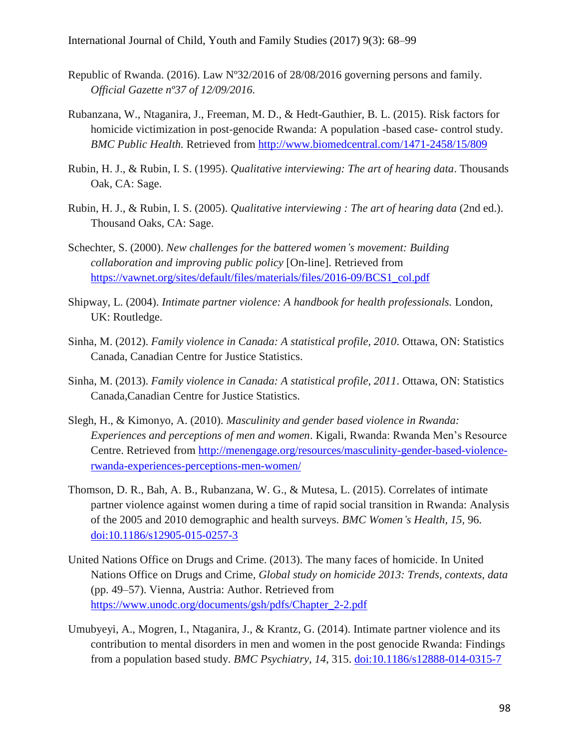- Republic of Rwanda. (2016). Law Nº32/2016 of 28/08/2016 governing persons and family. *Official Gazette nº37 of 12/09/2016.*
- Rubanzana, W., Ntaganira, J., Freeman, M. D., & Hedt-Gauthier, B. L. (2015). Risk factors for homicide victimization in post-genocide Rwanda: A population -based case- control study. *BMC Public Health.* Retrieved from <http://www.biomedcentral.com/1471-2458/15/809>
- Rubin, H. J., & Rubin, I. S. (1995). *Qualitative interviewing: The art of hearing data*. Thousands Oak, CA: Sage.
- Rubin, H. J., & Rubin, I. S. (2005). *Qualitative interviewing : The art of hearing data* (2nd ed.). Thousand Oaks, CA: Sage.
- Schechter, S. (2000). *New challenges for the battered women's movement: Building collaboration and improving public policy* [On-line]. Retrieved from [https://vawnet.org/sites/default/files/materials/files/2016-09/BCS1\\_col.pdf](https://vawnet.org/sites/default/files/materials/files/2016-09/BCS1_col.pdf)
- Shipway, L. (2004). *Intimate partner violence: A handbook for health professionals.* London, UK: Routledge.
- Sinha, M. (2012). *Family violence in Canada: A statistical profile, 2010*. Ottawa, ON: Statistics Canada, Canadian Centre for Justice Statistics.
- Sinha, M. (2013). *Family violence in Canada: A statistical profile, 2011*. Ottawa, ON: Statistics Canada,Canadian Centre for Justice Statistics.
- Slegh, H., & Kimonyo, A. (2010). *Masculinity and gender based violence in Rwanda: Experiences and perceptions of men and women*. Kigali, Rwanda: Rwanda Men's Resource Centre. Retrieved from [http://menengage.org/resources/masculinity-gender-based-violence](http://menengage.org/resources/masculinity-gender-based-violence-rwanda-experiences-perceptions-men-women/)[rwanda-experiences-perceptions-men-women/](http://menengage.org/resources/masculinity-gender-based-violence-rwanda-experiences-perceptions-men-women/)
- Thomson, D. R., Bah, A. B., [Rubanzana,](https://www.ncbi.nlm.nih.gov/pubmed/?term=Rubanzana%20WG%5BAuthor%5D&cauthor=true&cauthor_uid=26511348) W. G., & Mutesa, L. (2015). Correlates of intimate partner violence against women during a time of rapid social transition in Rwanda: Analysis of the 2005 and 2010 demographic and health surveys. *BMC Women's Health, 15,* 96. [doi:10.1186/s12905-015-0257-3](http://dx.doi.org/10.1186/s12905-015-0257-3)
- United Nations Office on Drugs and Crime. (2013). The many faces of homicide. In United Nations Office on Drugs and Crime, *Global study on homicide 2013: Trends, contexts, data* (pp. 49–57). Vienna, Austria: Author. Retrieved from [https://www.unodc.org/documents/gsh/pdfs/Chapter\\_2-2.pdf](https://www.unodc.org/documents/gsh/pdfs/Chapter_2-2.pdf)
- Umubyeyi, A., Mogren, I., Ntaganira, J., & Krantz, G. (2014). Intimate partner violence and its contribution to mental disorders in men and women in the post genocide Rwanda: Findings from a population based study. *BMC Psychiatry, 14*, 315. [doi:10.1186/s12888-014-0315-7](http://dx.doi.org/10.1186/s12888-014-0315-7)